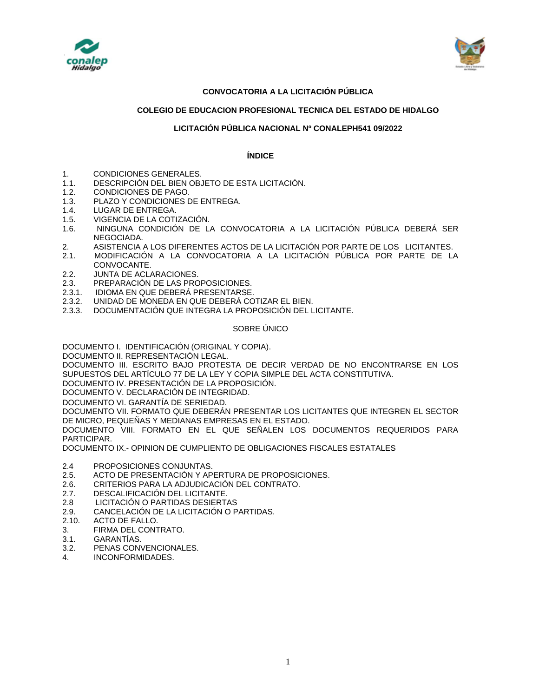



## **CONVOCATORIA A LA LICITACIÓN PÚBLICA**

### **COLEGIO DE EDUCACION PROFESIONAL TECNICA DEL ESTADO DE HIDALGO**

### **LICITACIÓN PÚBLICA NACIONAL Nº CONALEPH541 09/2022**

### **ÍNDICE**

- 1. CONDICIONES GENERALES.
- 1.1. DESCRIPCIÓN DEL BIEN OBJETO DE ESTA LICITACIÓN.
- 1.2. CONDICIONES DE PAGO.
- 1.3. PLAZO Y CONDICIONES DE ENTREGA.
- 1.4. LUGAR DE ENTREGA.
- 1.5. VIGENCIA DE LA COTIZACIÓN.
- 1.6. NINGUNA CONDICIÓN DE LA CONVOCATORIA A LA LICITACIÓN PÚBLICA DEBERÁ SER NEGOCIADA.
- 2. ASISTENCIA A LOS DIFERENTES ACTOS DE LA LICITACIÓN POR PARTE DE LOS LICITANTES.
- 2.1. MODIFICACIÓN A LA CONVOCATORIA A LA LICITACIÓN PÚBLICA POR PARTE DE LA CONVOCANTE.
- 2.2. JUNTA DE ACLARACIONES.
- 2.3. PREPARACIÓN DE LAS PROPOSICIONES.
- 2.3.1. IDIOMA EN QUE DEBERÁ PRESENTARSE.
- 2.3.2. UNIDAD DE MONEDA EN QUE DEBERÁ COTIZAR EL BIEN.
- 2.3.3. DOCUMENTACIÓN QUE INTEGRA LA PROPOSICIÓN DEL LICITANTE.

#### SOBRE ÚNICO

DOCUMENTO I. IDENTIFICACIÓN (ORIGINAL Y COPIA).

DOCUMENTO II. REPRESENTACIÓN LEGAL.

DOCUMENTO III. ESCRITO BAJO PROTESTA DE DECIR VERDAD DE NO ENCONTRARSE EN LOS SUPUESTOS DEL ARTÍCULO 77 DE LA LEY Y COPIA SIMPLE DEL ACTA CONSTITUTIVA.

DOCUMENTO IV. PRESENTACIÓN DE LA PROPOSICIÓN.

DOCUMENTO V. DECLARACIÓN DE INTEGRIDAD.

DOCUMENTO VI. GARANTÍA DE SERIEDAD.

DOCUMENTO VII. FORMATO QUE DEBERÁN PRESENTAR LOS LICITANTES QUE INTEGREN EL SECTOR DE MICRO, PEQUEÑAS Y MEDIANAS EMPRESAS EN EL ESTADO.

DOCUMENTO VIII. FORMATO EN EL QUE SEÑALEN LOS DOCUMENTOS REQUERIDOS PARA PARTICIPAR.

DOCUMENTO IX.- OPINION DE CUMPLIENTO DE OBLIGACIONES FISCALES ESTATALES

- 2.4 PROPOSICIONES CONJUNTAS.
- 2.5. ACTO DE PRESENTACIÓN Y APERTURA DE PROPOSICIONES.
- 2.6. CRITERIOS PARA LA ADJUDICACIÓN DEL CONTRATO.
- 2.7. DESCALIFICACIÓN DEL LICITANTE.<br>2.8. LICITACIÓN O PARTIDAS DESIERT/
- 2.8 LICITACIÓN O PARTIDAS DESIERTAS
- 2.9. CANCELACIÓN DE LA LICITACIÓN O PARTIDAS.
- 2.10. ACTO DE FALLO.
- 3. FIRMA DEL CONTRATO.
- 3.1. GARANTÍAS.
- 3.2. PENAS CONVENCIONALES.
- 4. INCONFORMIDADES.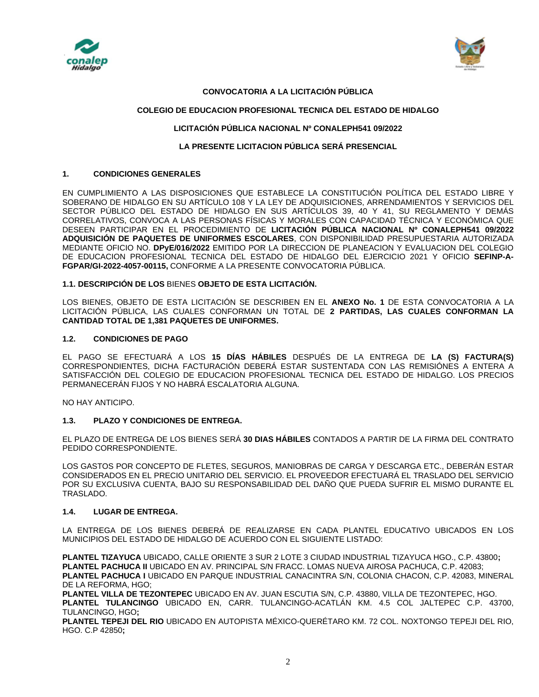



### **CONVOCATORIA A LA LICITACIÓN PÚBLICA**

### **COLEGIO DE EDUCACION PROFESIONAL TECNICA DEL ESTADO DE HIDALGO**

## **LICITACIÓN PÚBLICA NACIONAL Nº CONALEPH541 09/2022**

### **LA PRESENTE LICITACION PÚBLICA SERÁ PRESENCIAL**

### **1. CONDICIONES GENERALES**

EN CUMPLIMIENTO A LAS DISPOSICIONES QUE ESTABLECE LA CONSTITUCIÓN POLÍTICA DEL ESTADO LIBRE Y SOBERANO DE HIDALGO EN SU ARTÍCULO 108 Y LA LEY DE ADQUISICIONES, ARRENDAMIENTOS Y SERVICIOS DEL SECTOR PÚBLICO DEL ESTADO DE HIDALGO EN SUS ARTÍCULOS 39, 40 Y 41, SU REGLAMENTO Y DEMÁS CORRELATIVOS, CONVOCA A LAS PERSONAS FÍSICAS Y MORALES CON CAPACIDAD TÉCNICA Y ECONÓMICA QUE DESEEN PARTICIPAR EN EL PROCEDIMIENTO DE **LICITACIÓN PÚBLICA NACIONAL Nº CONALEPH541 09/2022 ADQUISICIÓN DE PAQUETES DE UNIFORMES ESCOLARES**, CON DISPONIBILIDAD PRESUPUESTARIA AUTORIZADA MEDIANTE OFICIO NO. **DPyE/016/2022** EMITIDO POR LA DIRECCION DE PLANEACION Y EVALUACION DEL COLEGIO DE EDUCACION PROFESIONAL TECNICA DEL ESTADO DE HIDALGO DEL EJERCICIO 2021 Y OFICIO **SEFINP-A-FGPAR/GI-2022-4057-00115,** CONFORME A LA PRESENTE CONVOCATORIA PÚBLICA.

**1.1. DESCRIPCIÓN DE LOS** BIENES **OBJETO DE ESTA LICITACIÓN.**

LOS BIENES, OBJETO DE ESTA LICITACIÓN SE DESCRIBEN EN EL **ANEXO No. 1** DE ESTA CONVOCATORIA A LA LICITACIÓN PÚBLICA, LAS CUALES CONFORMAN UN TOTAL DE **2 PARTIDAS, LAS CUALES CONFORMAN LA CANTIDAD TOTAL DE 1,381 PAQUETES DE UNIFORMES.** 

### **1.2. CONDICIONES DE PAGO**

EL PAGO SE EFECTUARÁ A LOS **15 DÍAS HÁBILES** DESPUÉS DE LA ENTREGA DE **LA (S) FACTURA(S)** CORRESPONDIENTES, DICHA FACTURACIÓN DEBERÁ ESTAR SUSTENTADA CON LAS REMISIÓNES A ENTERA A SATISFACCIÓN DEL COLEGIO DE EDUCACION PROFESIONAL TECNICA DEL ESTADO DE HIDALGO. LOS PRECIOS PERMANECERÁN FIJOS Y NO HABRÁ ESCALATORIA ALGUNA.

NO HAY ANTICIPO.

### **1.3. PLAZO Y CONDICIONES DE ENTREGA.**

EL PLAZO DE ENTREGA DE LOS BIENES SERÁ **30 DIAS HÁBILES** CONTADOS A PARTIR DE LA FIRMA DEL CONTRATO PEDIDO CORRESPONDIENTE.

LOS GASTOS POR CONCEPTO DE FLETES, SEGUROS, MANIOBRAS DE CARGA Y DESCARGA ETC., DEBERÁN ESTAR CONSIDERADOS EN EL PRECIO UNITARIO DEL SERVICIO. EL PROVEEDOR EFECTUARÁ EL TRASLADO DEL SERVICIO POR SU EXCLUSIVA CUENTA, BAJO SU RESPONSABILIDAD DEL DAÑO QUE PUEDA SUFRIR EL MISMO DURANTE EL TRASLADO.

### **1.4. LUGAR DE ENTREGA.**

LA ENTREGA DE LOS BIENES DEBERÁ DE REALIZARSE EN CADA PLANTEL EDUCATIVO UBICADOS EN LOS MUNICIPIOS DEL ESTADO DE HIDALGO DE ACUERDO CON EL SIGUIENTE LISTADO:

**PLANTEL TIZAYUCA** UBICADO, CALLE ORIENTE 3 SUR 2 LOTE 3 CIUDAD INDUSTRIAL TIZAYUCA HGO., C.P. 43800**; PLANTEL PACHUCA II** UBICADO EN AV. PRINCIPAL S/N FRACC. LOMAS NUEVA AIROSA PACHUCA, C.P. 42083; **PLANTEL PACHUCA I** UBICADO EN PARQUE INDUSTRIAL CANACINTRA S/N, COLONIA CHACON, C.P. 42083, MINERAL DE LA REFORMA, HGO;

**PLANTEL VILLA DE TEZONTEPEC** UBICADO EN AV. JUAN ESCUTIA S/N, C.P. 43880, VILLA DE TEZONTEPEC, HGO. **PLANTEL TULANCINGO** UBICADO EN, CARR. TULANCINGO-ACATLÁN KM. 4.5 COL JALTEPEC C.P. 43700, TULANCINGO, HGO**;**

**PLANTEL TEPEJI DEL RIO** UBICADO EN AUTOPISTA MÉXICO-QUERÉTARO KM. 72 COL. NOXTONGO TEPEJI DEL RIO, HGO. C.P 42850**;**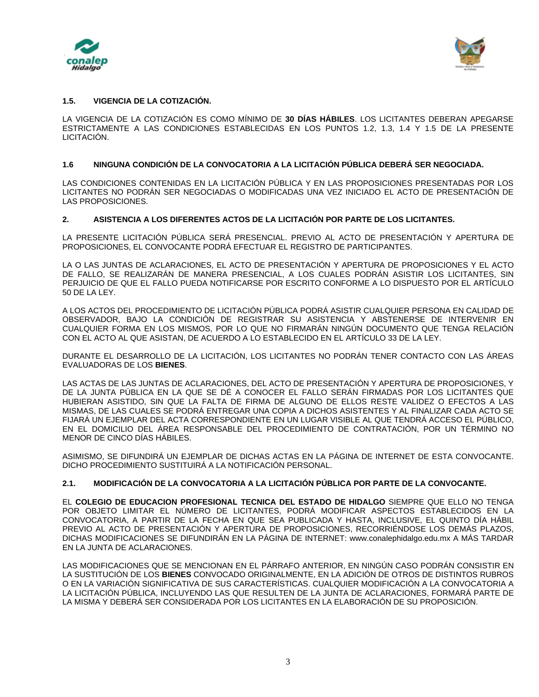



## **1.5. VIGENCIA DE LA COTIZACIÓN.**

LA VIGENCIA DE LA COTIZACIÓN ES COMO MÍNIMO DE **30 DÍAS HÁBILES**. LOS LICITANTES DEBERAN APEGARSE ESTRICTAMENTE A LAS CONDICIONES ESTABLECIDAS EN LOS PUNTOS 1.2, 1.3, 1.4 Y 1.5 DE LA PRESENTE LICITACIÓN.

### **1.6 NINGUNA CONDICIÓN DE LA CONVOCATORIA A LA LICITACIÓN PÚBLICA DEBERÁ SER NEGOCIADA.**

LAS CONDICIONES CONTENIDAS EN LA LICITACIÓN PÚBLICA Y EN LAS PROPOSICIONES PRESENTADAS POR LOS LICITANTES NO PODRÁN SER NEGOCIADAS O MODIFICADAS UNA VEZ INICIADO EL ACTO DE PRESENTACIÓN DE LAS PROPOSICIONES.

### **2. ASISTENCIA A LOS DIFERENTES ACTOS DE LA LICITACIÓN POR PARTE DE LOS LICITANTES.**

LA PRESENTE LICITACIÓN PÚBLICA SERÁ PRESENCIAL. PREVIO AL ACTO DE PRESENTACIÓN Y APERTURA DE PROPOSICIONES, EL CONVOCANTE PODRÁ EFECTUAR EL REGISTRO DE PARTICIPANTES.

LA O LAS JUNTAS DE ACLARACIONES, EL ACTO DE PRESENTACIÓN Y APERTURA DE PROPOSICIONES Y EL ACTO DE FALLO, SE REALIZARÁN DE MANERA PRESENCIAL, A LOS CUALES PODRÁN ASISTIR LOS LICITANTES, SIN PERJUICIO DE QUE EL FALLO PUEDA NOTIFICARSE POR ESCRITO CONFORME A LO DISPUESTO POR EL ARTÍCULO 50 DE LA LEY.

A LOS ACTOS DEL PROCEDIMIENTO DE LICITACIÓN PÚBLICA PODRÁ ASISTIR CUALQUIER PERSONA EN CALIDAD DE OBSERVADOR, BAJO LA CONDICIÓN DE REGISTRAR SU ASISTENCIA Y ABSTENERSE DE INTERVENIR EN CUALQUIER FORMA EN LOS MISMOS, POR LO QUE NO FIRMARÁN NINGÚN DOCUMENTO QUE TENGA RELACIÓN CON EL ACTO AL QUE ASISTAN, DE ACUERDO A LO ESTABLECIDO EN EL ARTÍCULO 33 DE LA LEY.

DURANTE EL DESARROLLO DE LA LICITACIÓN, LOS LICITANTES NO PODRÁN TENER CONTACTO CON LAS ÁREAS EVALUADORAS DE LOS **BIENES**.

LAS ACTAS DE LAS JUNTAS DE ACLARACIONES, DEL ACTO DE PRESENTACIÓN Y APERTURA DE PROPOSICIONES, Y DE LA JUNTA PÚBLICA EN LA QUE SE DÉ A CONOCER EL FALLO SERÁN FIRMADAS POR LOS LICITANTES QUE HUBIERAN ASISTIDO, SIN QUE LA FALTA DE FIRMA DE ALGUNO DE ELLOS RESTE VALIDEZ O EFECTOS A LAS MISMAS, DE LAS CUALES SE PODRÁ ENTREGAR UNA COPIA A DICHOS ASISTENTES Y AL FINALIZAR CADA ACTO SE FIJARÁ UN EJEMPLAR DEL ACTA CORRESPONDIENTE EN UN LUGAR VISIBLE AL QUE TENDRÁ ACCESO EL PÚBLICO, EN EL DOMICILIO DEL ÁREA RESPONSABLE DEL PROCEDIMIENTO DE CONTRATACIÓN, POR UN TÉRMINO NO MENOR DE CINCO DÍAS HÁBILES.

ASIMISMO, SE DIFUNDIRÁ UN EJEMPLAR DE DICHAS ACTAS EN LA PÁGINA DE INTERNET DE ESTA CONVOCANTE. DICHO PROCEDIMIENTO SUSTITUIRÁ A LA NOTIFICACIÓN PERSONAL.

# **2.1. MODIFICACIÓN DE LA CONVOCATORIA A LA LICITACIÓN PÚBLICA POR PARTE DE LA CONVOCANTE.**

EL **COLEGIO DE EDUCACION PROFESIONAL TECNICA DEL ESTADO DE HIDALGO** SIEMPRE QUE ELLO NO TENGA POR OBJETO LIMITAR EL NÚMERO DE LICITANTES, PODRÁ MODIFICAR ASPECTOS ESTABLECIDOS EN LA CONVOCATORIA, A PARTIR DE LA FECHA EN QUE SEA PUBLICADA Y HASTA, INCLUSIVE, EL QUINTO DÍA HÁBIL PREVIO AL ACTO DE PRESENTACIÓN Y APERTURA DE PROPOSICIONES, RECORRIÉNDOSE LOS DEMÁS PLAZOS, DICHAS MODIFICACIONES SE DIFUNDIRÁN EN LA PÁGINA DE INTERNET: www.conalephidalgo.edu.mx A MÁS TARDAR EN LA JUNTA DE ACLARACIONES.

LAS MODIFICACIONES QUE SE MENCIONAN EN EL PÁRRAFO ANTERIOR, EN NINGÚN CASO PODRÁN CONSISTIR EN LA SUSTITUCIÓN DE LOS **BIENES** CONVOCADO ORIGINALMENTE, EN LA ADICIÓN DE OTROS DE DISTINTOS RUBROS O EN LA VARIACIÓN SIGNIFICATIVA DE SUS CARACTERÍSTICAS. CUALQUIER MODIFICACIÓN A LA CONVOCATORIA A LA LICITACIÓN PÚBLICA, INCLUYENDO LAS QUE RESULTEN DE LA JUNTA DE ACLARACIONES, FORMARÁ PARTE DE LA MISMA Y DEBERÁ SER CONSIDERADA POR LOS LICITANTES EN LA ELABORACIÓN DE SU PROPOSICIÓN.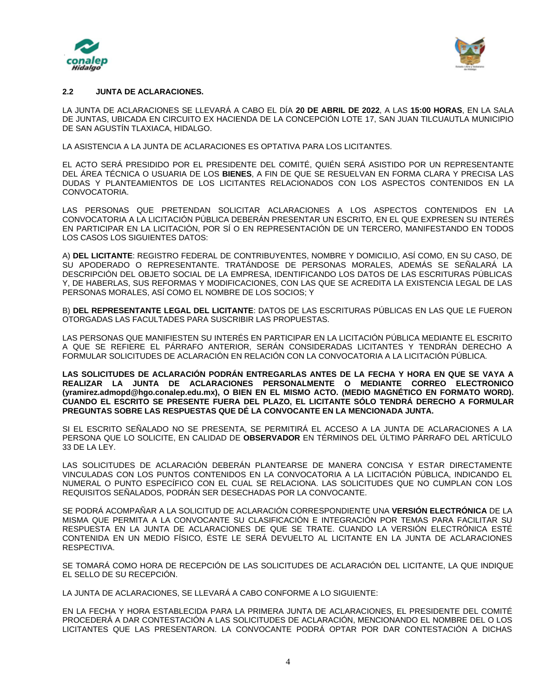



### **2.2 JUNTA DE ACLARACIONES.**

LA JUNTA DE ACLARACIONES SE LLEVARÁ A CABO EL DÍA **20 DE ABRIL DE 2022**, A LAS **15:00 HORAS**, EN LA SALA DE JUNTAS, UBICADA EN CIRCUITO EX HACIENDA DE LA CONCEPCIÓN LOTE 17, SAN JUAN TILCUAUTLA MUNICIPIO DE SAN AGUSTÍN TLAXIACA, HIDALGO.

LA ASISTENCIA A LA JUNTA DE ACLARACIONES ES OPTATIVA PARA LOS LICITANTES.

EL ACTO SERÁ PRESIDIDO POR EL PRESIDENTE DEL COMITÉ, QUIÉN SERÁ ASISTIDO POR UN REPRESENTANTE DEL ÁREA TÉCNICA O USUARIA DE LOS **BIENES**, A FIN DE QUE SE RESUELVAN EN FORMA CLARA Y PRECISA LAS DUDAS Y PLANTEAMIENTOS DE LOS LICITANTES RELACIONADOS CON LOS ASPECTOS CONTENIDOS EN LA CONVOCATORIA.

LAS PERSONAS QUE PRETENDAN SOLICITAR ACLARACIONES A LOS ASPECTOS CONTENIDOS EN LA CONVOCATORIA A LA LICITACIÓN PÚBLICA DEBERÁN PRESENTAR UN ESCRITO, EN EL QUE EXPRESEN SU INTERÉS EN PARTICIPAR EN LA LICITACIÓN, POR SÍ O EN REPRESENTACIÓN DE UN TERCERO, MANIFESTANDO EN TODOS LOS CASOS LOS SIGUIENTES DATOS:

A) **DEL LICITANTE**: REGISTRO FEDERAL DE CONTRIBUYENTES, NOMBRE Y DOMICILIO, ASÍ COMO, EN SU CASO, DE SU APODERADO O REPRESENTANTE. TRATÁNDOSE DE PERSONAS MORALES, ADEMÁS SE SEÑALARÁ LA DESCRIPCIÓN DEL OBJETO SOCIAL DE LA EMPRESA, IDENTIFICANDO LOS DATOS DE LAS ESCRITURAS PÚBLICAS Y, DE HABERLAS, SUS REFORMAS Y MODIFICACIONES, CON LAS QUE SE ACREDITA LA EXISTENCIA LEGAL DE LAS PERSONAS MORALES, ASÍ COMO EL NOMBRE DE LOS SOCIOS; Y

B) **DEL REPRESENTANTE LEGAL DEL LICITANTE**: DATOS DE LAS ESCRITURAS PÚBLICAS EN LAS QUE LE FUERON OTORGADAS LAS FACULTADES PARA SUSCRIBIR LAS PROPUESTAS.

LAS PERSONAS QUE MANIFIESTEN SU INTERÉS EN PARTICIPAR EN LA LICITACIÓN PÚBLICA MEDIANTE EL ESCRITO A QUE SE REFIERE EL PÁRRAFO ANTERIOR, SERÁN CONSIDERADAS LICITANTES Y TENDRÁN DERECHO A FORMULAR SOLICITUDES DE ACLARACIÓN EN RELACIÓN CON LA CONVOCATORIA A LA LICITACIÓN PÚBLICA.

**LAS SOLICITUDES DE ACLARACIÓN PODRÁN ENTREGARLAS ANTES DE LA FECHA Y HORA EN QUE SE VAYA A REALIZAR LA JUNTA DE ACLARACIONES PERSONALMENTE O MEDIANTE CORREO ELECTRONICO (yramirez.admopd@hgo.conalep.edu.mx), O BIEN EN EL MISMO ACTO. (MEDIO MAGNÉTICO EN FORMATO WORD). CUANDO EL ESCRITO SE PRESENTE FUERA DEL PLAZO, EL LICITANTE SÓLO TENDRÁ DERECHO A FORMULAR PREGUNTAS SOBRE LAS RESPUESTAS QUE DÉ LA CONVOCANTE EN LA MENCIONADA JUNTA.**

SI EL ESCRITO SEÑALADO NO SE PRESENTA, SE PERMITIRÁ EL ACCESO A LA JUNTA DE ACLARACIONES A LA PERSONA QUE LO SOLICITE, EN CALIDAD DE **OBSERVADOR** EN TÉRMINOS DEL ÚLTIMO PÁRRAFO DEL ARTÍCULO 33 DE LA LEY.

LAS SOLICITUDES DE ACLARACIÓN DEBERÁN PLANTEARSE DE MANERA CONCISA Y ESTAR DIRECTAMENTE VINCULADAS CON LOS PUNTOS CONTENIDOS EN LA CONVOCATORIA A LA LICITACIÓN PÚBLICA, INDICANDO EL NUMERAL O PUNTO ESPECÍFICO CON EL CUAL SE RELACIONA. LAS SOLICITUDES QUE NO CUMPLAN CON LOS REQUISITOS SEÑALADOS, PODRÁN SER DESECHADAS POR LA CONVOCANTE.

SE PODRÁ ACOMPAÑAR A LA SOLICITUD DE ACLARACIÓN CORRESPONDIENTE UNA **VERSIÓN ELECTRÓNICA** DE LA MISMA QUE PERMITA A LA CONVOCANTE SU CLASIFICACIÓN E INTEGRACIÓN POR TEMAS PARA FACILITAR SU RESPUESTA EN LA JUNTA DE ACLARACIONES DE QUE SE TRATE. CUANDO LA VERSIÓN ELECTRÓNICA ESTÉ CONTENIDA EN UN MEDIO FÍSICO, ÉSTE LE SERÁ DEVUELTO AL LICITANTE EN LA JUNTA DE ACLARACIONES RESPECTIVA.

SE TOMARÁ COMO HORA DE RECEPCIÓN DE LAS SOLICITUDES DE ACLARACIÓN DEL LICITANTE, LA QUE INDIQUE EL SELLO DE SU RECEPCIÓN.

LA JUNTA DE ACLARACIONES, SE LLEVARÁ A CABO CONFORME A LO SIGUIENTE:

EN LA FECHA Y HORA ESTABLECIDA PARA LA PRIMERA JUNTA DE ACLARACIONES, EL PRESIDENTE DEL COMITÉ PROCEDERÁ A DAR CONTESTACIÓN A LAS SOLICITUDES DE ACLARACIÓN, MENCIONANDO EL NOMBRE DEL O LOS LICITANTES QUE LAS PRESENTARON. LA CONVOCANTE PODRÁ OPTAR POR DAR CONTESTACIÓN A DICHAS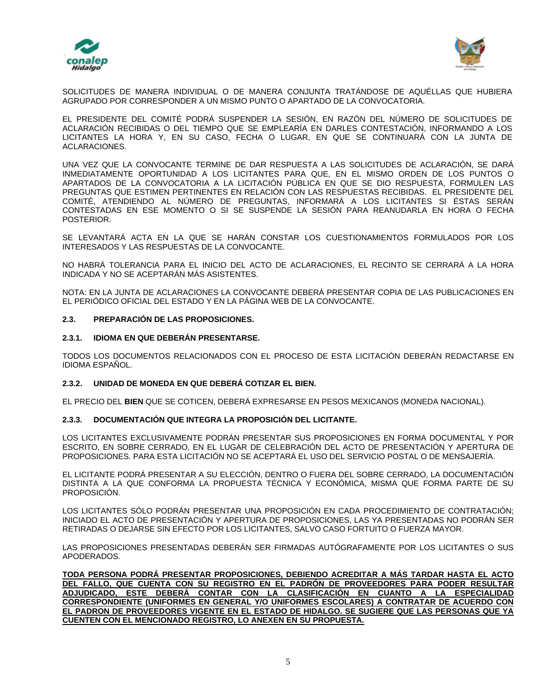



SOLICITUDES DE MANERA INDIVIDUAL O DE MANERA CONJUNTA TRATÁNDOSE DE AQUÉLLAS QUE HUBIERA AGRUPADO POR CORRESPONDER A UN MISMO PUNTO O APARTADO DE LA CONVOCATORIA.

EL PRESIDENTE DEL COMITÉ PODRÁ SUSPENDER LA SESIÓN, EN RAZÓN DEL NÚMERO DE SOLICITUDES DE ACLARACIÓN RECIBIDAS O DEL TIEMPO QUE SE EMPLEARÍA EN DARLES CONTESTACIÓN, INFORMANDO A LOS LICITANTES LA HORA Y, EN SU CASO, FECHA O LUGAR, EN QUE SE CONTINUARÁ CON LA JUNTA DE ACLARACIONES.

UNA VEZ QUE LA CONVOCANTE TERMINE DE DAR RESPUESTA A LAS SOLICITUDES DE ACLARACIÓN, SE DARÁ INMEDIATAMENTE OPORTUNIDAD A LOS LICITANTES PARA QUE, EN EL MISMO ORDEN DE LOS PUNTOS O APARTADOS DE LA CONVOCATORIA A LA LICITACIÓN PÚBLICA EN QUE SE DIO RESPUESTA, FORMULEN LAS PREGUNTAS QUE ESTIMEN PERTINENTES EN RELACIÓN CON LAS RESPUESTAS RECIBIDAS. EL PRESIDENTE DEL COMITÉ, ATENDIENDO AL NÚMERO DE PREGUNTAS, INFORMARÁ A LOS LICITANTES SI ÉSTAS SERÁN CONTESTADAS EN ESE MOMENTO O SI SE SUSPENDE LA SESIÓN PARA REANUDARLA EN HORA O FECHA POSTERIOR.

SE LEVANTARÁ ACTA EN LA QUE SE HARÁN CONSTAR LOS CUESTIONAMIENTOS FORMULADOS POR LOS INTERESADOS Y LAS RESPUESTAS DE LA CONVOCANTE.

NO HABRÁ TOLERANCIA PARA EL INICIO DEL ACTO DE ACLARACIONES, EL RECINTO SE CERRARÁ A LA HORA INDICADA Y NO SE ACEPTARÁN MÁS ASISTENTES.

NOTA: EN LA JUNTA DE ACLARACIONES LA CONVOCANTE DEBERÁ PRESENTAR COPIA DE LAS PUBLICACIONES EN EL PERIÓDICO OFICIAL DEL ESTADO Y EN LA PÁGINA WEB DE LA CONVOCANTE.

### **2.3. PREPARACIÓN DE LAS PROPOSICIONES.**

### **2.3.1. IDIOMA EN QUE DEBERÁN PRESENTARSE.**

TODOS LOS DOCUMENTOS RELACIONADOS CON EL PROCESO DE ESTA LICITACIÓN DEBERÁN REDACTARSE EN IDIOMA ESPAÑOL.

### **2.3.2. UNIDAD DE MONEDA EN QUE DEBERÁ COTIZAR EL BIEN.**

EL PRECIO DEL **BIEN** QUE SE COTICEN, DEBERÁ EXPRESARSE EN PESOS MEXICANOS (MONEDA NACIONAL).

### **2.3.3. DOCUMENTACIÓN QUE INTEGRA LA PROPOSICIÓN DEL LICITANTE.**

LOS LICITANTES EXCLUSIVAMENTE PODRÁN PRESENTAR SUS PROPOSICIONES EN FORMA DOCUMENTAL Y POR ESCRITO, EN SOBRE CERRADO, EN EL LUGAR DE CELEBRACIÓN DEL ACTO DE PRESENTACIÓN Y APERTURA DE PROPOSICIONES. PARA ESTA LICITACIÓN NO SE ACEPTARÁ EL USO DEL SERVICIO POSTAL O DE MENSAJERÍA.

EL LICITANTE PODRÁ PRESENTAR A SU ELECCIÓN, DENTRO O FUERA DEL SOBRE CERRADO, LA DOCUMENTACIÓN DISTINTA A LA QUE CONFORMA LA PROPUESTA TÉCNICA Y ECONÓMICA, MISMA QUE FORMA PARTE DE SU PROPOSICIÓN.

LOS LICITANTES SÓLO PODRÁN PRESENTAR UNA PROPOSICIÓN EN CADA PROCEDIMIENTO DE CONTRATACIÓN; INICIADO EL ACTO DE PRESENTACIÓN Y APERTURA DE PROPOSICIONES, LAS YA PRESENTADAS NO PODRÁN SER RETIRADAS O DEJARSE SIN EFECTO POR LOS LICITANTES, SALVO CASO FORTUITO O FUERZA MAYOR.

LAS PROPOSICIONES PRESENTADAS DEBERÁN SER FIRMADAS AUTÓGRAFAMENTE POR LOS LICITANTES O SUS APODERADOS.

**TODA PERSONA PODRÁ PRESENTAR PROPOSICIONES, DEBIENDO ACREDITAR A MÁS TARDAR HASTA EL ACTO DEL FALLO, QUE CUENTA CON SU REGISTRO EN EL PADRÓN DE PROVEEDORES PARA PODER RESULTAR ADJUDICADO, ESTE DEBERÁ CONTAR CON LA CLASIFICACIÓN EN CUANTO A LA ESPECIALIDAD CORRESPONDIENTE (UNIFORMES EN GENERAL Y/O UNIFORMES ESCOLARES) A CONTRATAR DE ACUERDO CON EL PADRON DE PROVEEDORES VIGENTE EN EL ESTADO DE HIDALGO. SE SUGIERE QUE LAS PERSONAS QUE YA CUENTEN CON EL MENCIONADO REGISTRO, LO ANEXEN EN SU PROPUESTA.**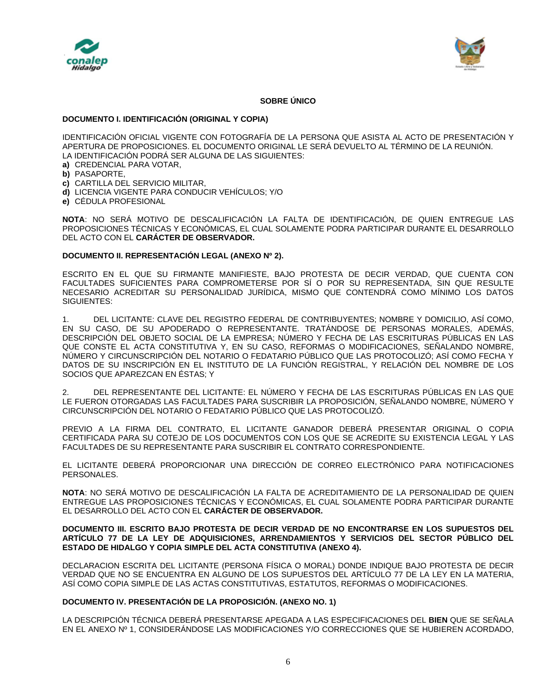



## **SOBRE ÚNICO**

#### **DOCUMENTO I. IDENTIFICACIÓN (ORIGINAL Y COPIA)**

IDENTIFICACIÓN OFICIAL VIGENTE CON FOTOGRAFÍA DE LA PERSONA QUE ASISTA AL ACTO DE PRESENTACIÓN Y APERTURA DE PROPOSICIONES. EL DOCUMENTO ORIGINAL LE SERÁ DEVUELTO AL TÉRMINO DE LA REUNIÓN. LA IDENTIFICACIÓN PODRÁ SER ALGUNA DE LAS SIGUIENTES:

- **a)** CREDENCIAL PARA VOTAR,
- **b)** PASAPORTE,
- **c)** CARTILLA DEL SERVICIO MILITAR,
- **d)** LICENCIA VIGENTE PARA CONDUCIR VEHÍCULOS; Y/O
- **e)** CÉDULA PROFESIONAL

**NOTA**: NO SERÁ MOTIVO DE DESCALIFICACIÓN LA FALTA DE IDENTIFICACIÓN, DE QUIEN ENTREGUE LAS PROPOSICIONES TÉCNICAS Y ECONÓMICAS, EL CUAL SOLAMENTE PODRA PARTICIPAR DURANTE EL DESARROLLO DEL ACTO CON EL **CARÁCTER DE OBSERVADOR.**

### **DOCUMENTO II. REPRESENTACIÓN LEGAL (ANEXO Nº 2).**

ESCRITO EN EL QUE SU FIRMANTE MANIFIESTE, BAJO PROTESTA DE DECIR VERDAD, QUE CUENTA CON FACULTADES SUFICIENTES PARA COMPROMETERSE POR SÍ O POR SU REPRESENTADA, SIN QUE RESULTE NECESARIO ACREDITAR SU PERSONALIDAD JURÍDICA, MISMO QUE CONTENDRÁ COMO MÍNIMO LOS DATOS SIGUIENTES:

1. DEL LICITANTE: CLAVE DEL REGISTRO FEDERAL DE CONTRIBUYENTES; NOMBRE Y DOMICILIO, ASÍ COMO, EN SU CASO, DE SU APODERADO O REPRESENTANTE. TRATÁNDOSE DE PERSONAS MORALES, ADEMÁS, DESCRIPCIÓN DEL OBJETO SOCIAL DE LA EMPRESA; NÚMERO Y FECHA DE LAS ESCRITURAS PÚBLICAS EN LAS QUE CONSTE EL ACTA CONSTITUTIVA Y, EN SU CASO, REFORMAS O MODIFICACIONES, SEÑALANDO NOMBRE, NÚMERO Y CIRCUNSCRIPCIÓN DEL NOTARIO O FEDATARIO PÚBLICO QUE LAS PROTOCOLIZÓ; ASÍ COMO FECHA Y DATOS DE SU INSCRIPCIÓN EN EL INSTITUTO DE LA FUNCIÓN REGISTRAL, Y RELACIÓN DEL NOMBRE DE LOS SOCIOS QUE APAREZCAN EN ÉSTAS; Y

2. DEL REPRESENTANTE DEL LICITANTE: EL NÚMERO Y FECHA DE LAS ESCRITURAS PÚBLICAS EN LAS QUE LE FUERON OTORGADAS LAS FACULTADES PARA SUSCRIBIR LA PROPOSICIÓN, SEÑALANDO NOMBRE, NÚMERO Y CIRCUNSCRIPCIÓN DEL NOTARIO O FEDATARIO PÚBLICO QUE LAS PROTOCOLIZÓ.

PREVIO A LA FIRMA DEL CONTRATO, EL LICITANTE GANADOR DEBERÁ PRESENTAR ORIGINAL O COPIA CERTIFICADA PARA SU COTEJO DE LOS DOCUMENTOS CON LOS QUE SE ACREDITE SU EXISTENCIA LEGAL Y LAS FACULTADES DE SU REPRESENTANTE PARA SUSCRIBIR EL CONTRATO CORRESPONDIENTE.

EL LICITANTE DEBERÁ PROPORCIONAR UNA DIRECCIÓN DE CORREO ELECTRÓNICO PARA NOTIFICACIONES PERSONALES.

**NOTA**: NO SERÁ MOTIVO DE DESCALIFICACIÓN LA FALTA DE ACREDITAMIENTO DE LA PERSONALIDAD DE QUIEN ENTREGUE LAS PROPOSICIONES TÉCNICAS Y ECONÓMICAS, EL CUAL SOLAMENTE PODRA PARTICIPAR DURANTE EL DESARROLLO DEL ACTO CON EL **CARÁCTER DE OBSERVADOR.**

#### **DOCUMENTO III. ESCRITO BAJO PROTESTA DE DECIR VERDAD DE NO ENCONTRARSE EN LOS SUPUESTOS DEL ARTÍCULO 77 DE LA LEY DE ADQUISICIONES, ARRENDAMIENTOS Y SERVICIOS DEL SECTOR PÚBLICO DEL ESTADO DE HIDALGO Y COPIA SIMPLE DEL ACTA CONSTITUTIVA (ANEXO 4).**

DECLARACION ESCRITA DEL LICITANTE (PERSONA FÍSICA O MORAL) DONDE INDIQUE BAJO PROTESTA DE DECIR VERDAD QUE NO SE ENCUENTRA EN ALGUNO DE LOS SUPUESTOS DEL ARTÍCULO 77 DE LA LEY EN LA MATERIA, ASÍ COMO COPIA SIMPLE DE LAS ACTAS CONSTITUTIVAS, ESTATUTOS, REFORMAS O MODIFICACIONES.

### **DOCUMENTO IV. PRESENTACIÓN DE LA PROPOSICIÓN. (ANEXO NO. 1)**

LA DESCRIPCIÓN TÉCNICA DEBERÁ PRESENTARSE APEGADA A LAS ESPECIFICACIONES DEL **BIEN** QUE SE SEÑALA EN EL ANEXO Nº 1, CONSIDERÁNDOSE LAS MODIFICACIONES Y/O CORRECCIONES QUE SE HUBIEREN ACORDADO,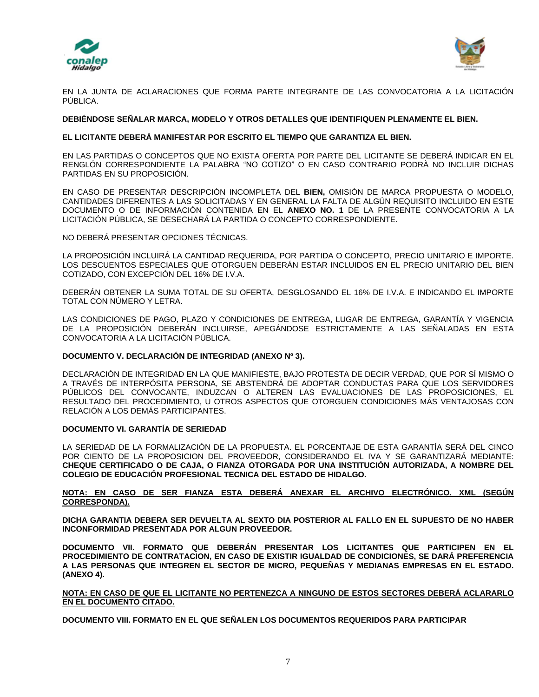



EN LA JUNTA DE ACLARACIONES QUE FORMA PARTE INTEGRANTE DE LAS CONVOCATORIA A LA LICITACIÓN PÚBLICA.

### **DEBIÉNDOSE SEÑALAR MARCA, MODELO Y OTROS DETALLES QUE IDENTIFIQUEN PLENAMENTE EL BIEN.**

### **EL LICITANTE DEBERÁ MANIFESTAR POR ESCRITO EL TIEMPO QUE GARANTIZA EL BIEN.**

EN LAS PARTIDAS O CONCEPTOS QUE NO EXISTA OFERTA POR PARTE DEL LICITANTE SE DEBERÁ INDICAR EN EL RENGLÓN CORRESPONDIENTE LA PALABRA "NO COTIZO" O EN CASO CONTRARIO PODRÀ NO INCLUIR DICHAS PARTIDAS EN SU PROPOSICIÓN.

EN CASO DE PRESENTAR DESCRIPCIÓN INCOMPLETA DEL **BIEN,** OMISIÓN DE MARCA PROPUESTA O MODELO, CANTIDADES DIFERENTES A LAS SOLICITADAS Y EN GENERAL LA FALTA DE ALGÚN REQUISITO INCLUIDO EN ESTE DOCUMENTO O DE INFORMACIÓN CONTENIDA EN EL **ANEXO NO. 1** DE LA PRESENTE CONVOCATORIA A LA LICITACIÓN PÚBLICA, SE DESECHARÁ LA PARTIDA O CONCEPTO CORRESPONDIENTE.

NO DEBERÁ PRESENTAR OPCIONES TÉCNICAS.

LA PROPOSICIÓN INCLUIRÁ LA CANTIDAD REQUERIDA, POR PARTIDA O CONCEPTO, PRECIO UNITARIO E IMPORTE. LOS DESCUENTOS ESPECIALES QUE OTORGUEN DEBERÁN ESTAR INCLUIDOS EN EL PRECIO UNITARIO DEL BIEN COTIZADO, CON EXCEPCIÓN DEL 16% DE I.V.A.

DEBERÁN OBTENER LA SUMA TOTAL DE SU OFERTA, DESGLOSANDO EL 16% DE I.V.A. E INDICANDO EL IMPORTE TOTAL CON NÚMERO Y LETRA.

LAS CONDICIONES DE PAGO, PLAZO Y CONDICIONES DE ENTREGA, LUGAR DE ENTREGA, GARANTÍA Y VIGENCIA DE LA PROPOSICIÓN DEBERÁN INCLUIRSE, APEGÁNDOSE ESTRICTAMENTE A LAS SEÑALADAS EN ESTA CONVOCATORIA A LA LICITACIÓN PÚBLICA.

### **DOCUMENTO V. DECLARACIÓN DE INTEGRIDAD (ANEXO Nº 3).**

DECLARACIÓN DE INTEGRIDAD EN LA QUE MANIFIESTE, BAJO PROTESTA DE DECIR VERDAD, QUE POR SÍ MISMO O A TRAVÉS DE INTERPÓSITA PERSONA, SE ABSTENDRÁ DE ADOPTAR CONDUCTAS PARA QUE LOS SERVIDORES PÚBLICOS DEL CONVOCANTE, INDUZCAN O ALTEREN LAS EVALUACIONES DE LAS PROPOSICIONES, EL RESULTADO DEL PROCEDIMIENTO, U OTROS ASPECTOS QUE OTORGUEN CONDICIONES MÁS VENTAJOSAS CON RELACIÓN A LOS DEMÁS PARTICIPANTES.

### **DOCUMENTO VI. GARANTÍA DE SERIEDAD**

LA SERIEDAD DE LA FORMALIZACIÓN DE LA PROPUESTA. EL PORCENTAJE DE ESTA GARANTÍA SERÁ DEL CINCO POR CIENTO DE LA PROPOSICION DEL PROVEEDOR, CONSIDERANDO EL IVA Y SE GARANTIZARÁ MEDIANTE: **CHEQUE CERTIFICADO O DE CAJA, O FIANZA OTORGADA POR UNA INSTITUCIÓN AUTORIZADA, A NOMBRE DEL COLEGIO DE EDUCACIÓN PROFESIONAL TECNICA DEL ESTADO DE HIDALGO.**

### **NOTA: EN CASO DE SER FIANZA ESTA DEBERÁ ANEXAR EL ARCHIVO ELECTRÓNICO. XML (SEGÚN CORRESPONDA).**

**DICHA GARANTIA DEBERA SER DEVUELTA AL SEXTO DIA POSTERIOR AL FALLO EN EL SUPUESTO DE NO HABER INCONFORMIDAD PRESENTADA POR ALGUN PROVEEDOR.**

**DOCUMENTO VII. FORMATO QUE DEBERÁN PRESENTAR LOS LICITANTES QUE PARTICIPEN EN EL PROCEDIMIENTO DE CONTRATACION, EN CASO DE EXISTIR IGUALDAD DE CONDICIONES, SE DARÁ PREFERENCIA A LAS PERSONAS QUE INTEGREN EL SECTOR DE MICRO, PEQUEÑAS Y MEDIANAS EMPRESAS EN EL ESTADO. (ANEXO 4).**

**NOTA: EN CASO DE QUE EL LICITANTE NO PERTENEZCA A NINGUNO DE ESTOS SECTORES DEBERÁ ACLARARLO EN EL DOCUMENTO CITADO.**

**DOCUMENTO VIII. FORMATO EN EL QUE SEÑALEN LOS DOCUMENTOS REQUERIDOS PARA PARTICIPAR**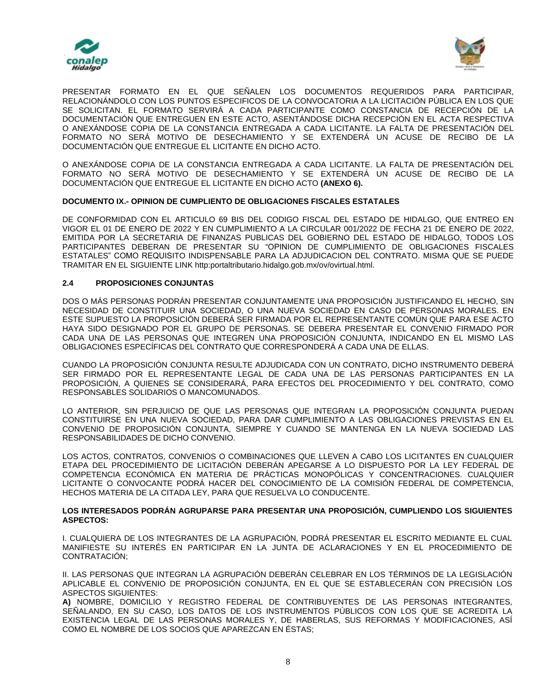



PRESENTAR FORMATO EN EL QUE SEÑALEN LOS DOCUMENTOS REQUERIDOS PARA PARTICIPAR, RELACIONÁNDOLO CON LOS PUNTOS ESPECIFICOS DE LA CONVOCATORIA A LA LICITACIÓN PÚBLICA EN LOS QUE SE SOLICITAN. EL FORMATO SERVIRÁ A CADA PARTICIPANTE COMO CONSTANCIA DE RECEPCIÓN DE LA DOCUMENTACIÓN QUE ENTREGUEN EN ESTE ACTO, ASENTÁNDOSE DICHA RECEPCIÓN EN EL ACTA RESPECTIVA O ANEXÁNDOSE COPIA DE LA CONSTANCIA ENTREGADA A CADA LICITANTE. LA FALTA DE PRESENTACIÓN DEL FORMATO NO SERÁ MOTIVO DE DESECHAMIENTO Y SE EXTENDERÁ UN ACUSE DE RECIBO DE LA DOCUMENTACIÓN QUE ENTREGUE EL LICITANTE EN DICHO ACTO.

O ANEXÁNDOSE COPIA DE LA CONSTANCIA ENTREGADA A CADA LICITANTE. LA FALTA DE PRESENTACIÓN DEL FORMATO NO SERÁ MOTIVO DE DESECHAMIENTO Y SE EXTENDERÁ UN ACUSE DE RECIBO DE LA DOCUMENTACIÓN QUE ENTREGUE EL LICITANTE EN DICHO ACTO **(ANEXO 6).**

### **DOCUMENTO IX.- OPINION DE CUMPLIENTO DE OBLIGACIONES FISCALES ESTATALES**

DE CONFORMIDAD CON EL ARTICULO 69 BIS DEL CODIGO FISCAL DEL ESTADO DE HIDALGO, QUE ENTREO EN VIGOR EL 01 DE ENERO DE 2022 Y EN CUMPLIMIENTO A LA CIRCULAR 001/2022 DE FECHA 21 DE ENERO DE 2022, EMITIDA POR LA SECRETARIA DE FINANZAS PUBLICAS DEL GOBIERNO DEL ESTADO DE HIDALGO, TODOS LOS PARTICIPANTES DEBERAN DE PRESENTAR SU "OPINION DE CUMPLIMIENTO DE OBLIGACIONES FISCALES ESTATALES" COMO REQUISITO INDISPENSABLE PARA LA ADJUDICACION DEL CONTRATO. MISMA QUE SE PUEDE TRAMITAR EN EL SIGUIENTE LINK http:portaltributario.hidalgo.gob.mx/ov/ovirtual.html.

### **2.4 PROPOSICIONES CONJUNTAS**

DOS O MÁS PERSONAS PODRÁN PRESENTAR CONJUNTAMENTE UNA PROPOSICIÓN JUSTIFICANDO EL HECHO, SIN NECESIDAD DE CONSTITUIR UNA SOCIEDAD, O UNA NUEVA SOCIEDAD EN CASO DE PERSONAS MORALES. EN ESTE SUPUESTO LA PROPOSICIÓN DEBERÁ SER FIRMADA POR EL REPRESENTANTE COMÚN QUE PARA ESE ACTO HAYA SIDO DESIGNADO POR EL GRUPO DE PERSONAS. SE DEBERA PRESENTAR EL CONVENIO FIRMADO POR CADA UNA DE LAS PERSONAS QUE INTEGREN UNA PROPOSICIÓN CONJUNTA, INDICANDO EN EL MISMO LAS OBLIGACIONES ESPECÍFICAS DEL CONTRATO QUE CORRESPONDERÁ A CADA UNA DE ELLAS.

CUANDO LA PROPOSICIÓN CONJUNTA RESULTE ADJUDICADA CON UN CONTRATO, DICHO INSTRUMENTO DEBERÁ SER FIRMADO POR EL REPRESENTANTE LEGAL DE CADA UNA DE LAS PERSONAS PARTICIPANTES EN LA PROPOSICIÓN, A QUIENES SE CONSIDERARÁ, PARA EFECTOS DEL PROCEDIMIENTO Y DEL CONTRATO, COMO RESPONSABLES SOLIDARIOS O MANCOMUNADOS.

LO ANTERIOR, SIN PERJUICIO DE QUE LAS PERSONAS QUE INTEGRAN LA PROPOSICIÓN CONJUNTA PUEDAN CONSTITUIRSE EN UNA NUEVA SOCIEDAD, PARA DAR CUMPLIMIENTO A LAS OBLIGACIONES PREVISTAS EN EL CONVENIO DE PROPOSICIÓN CONJUNTA, SIEMPRE Y CUANDO SE MANTENGA EN LA NUEVA SOCIEDAD LAS RESPONSABILIDADES DE DICHO CONVENIO.

LOS ACTOS, CONTRATOS, CONVENIOS O COMBINACIONES QUE LLEVEN A CABO LOS LICITANTES EN CUALQUIER ETAPA DEL PROCEDIMIENTO DE LICITACIÓN DEBERÁN APEGARSE A LO DISPUESTO POR LA LEY FEDERAL DE COMPETENCIA ECONÓMICA EN MATERIA DE PRÁCTICAS MONOPÓLICAS Y CONCENTRACIONES. CUALQUIER LICITANTE O CONVOCANTE PODRÁ HACER DEL CONOCIMIENTO DE LA COMISIÓN FEDERAL DE COMPETENCIA, HECHOS MATERIA DE LA CITADA LEY, PARA QUE RESUELVA LO CONDUCENTE.

#### **LOS INTERESADOS PODRÁN AGRUPARSE PARA PRESENTAR UNA PROPOSICIÓN, CUMPLIENDO LOS SIGUIENTES ASPECTOS:**

I. CUALQUIERA DE LOS INTEGRANTES DE LA AGRUPACIÓN, PODRÁ PRESENTAR EL ESCRITO MEDIANTE EL CUAL MANIFIESTE SU INTERÉS EN PARTICIPAR EN LA JUNTA DE ACLARACIONES Y EN EL PROCEDIMIENTO DE CONTRATACIÓN;

II. LAS PERSONAS QUE INTEGRAN LA AGRUPACIÓN DEBERÁN CELEBRAR EN LOS TÉRMINOS DE LA LEGISLACIÓN APLICABLE EL CONVENIO DE PROPOSICIÓN CONJUNTA, EN EL QUE SE ESTABLECERÁN CON PRECISIÓN LOS ASPECTOS SIGUIENTES:

**A)** NOMBRE, DOMICILIO Y REGISTRO FEDERAL DE CONTRIBUYENTES DE LAS PERSONAS INTEGRANTES, SEÑALANDO, EN SU CASO, LOS DATOS DE LOS INSTRUMENTOS PÚBLICOS CON LOS QUE SE ACREDITA LA EXISTENCIA LEGAL DE LAS PERSONAS MORALES Y, DE HABERLAS, SUS REFORMAS Y MODIFICACIONES, ASÍ COMO EL NOMBRE DE LOS SOCIOS QUE APAREZCAN EN ÉSTAS;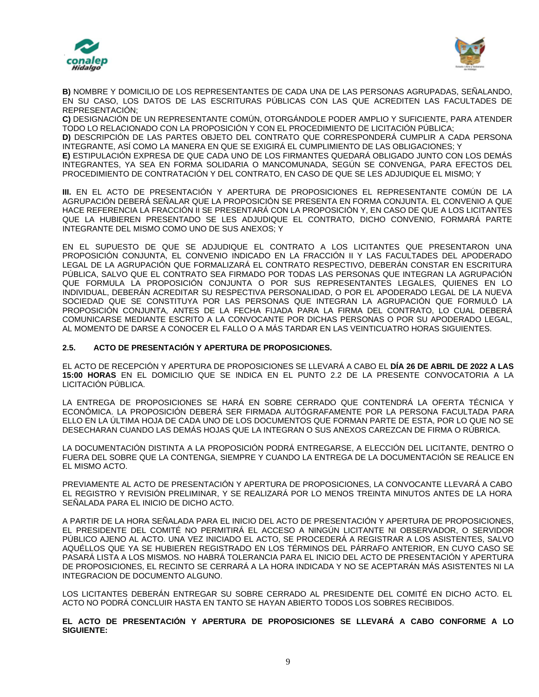



**B)** NOMBRE Y DOMICILIO DE LOS REPRESENTANTES DE CADA UNA DE LAS PERSONAS AGRUPADAS, SEÑALANDO, EN SU CASO, LOS DATOS DE LAS ESCRITURAS PÚBLICAS CON LAS QUE ACREDITEN LAS FACULTADES DE REPRESENTACIÓN;

**C)** DESIGNACIÓN DE UN REPRESENTANTE COMÚN, OTORGÁNDOLE PODER AMPLIO Y SUFICIENTE, PARA ATENDER TODO LO RELACIONADO CON LA PROPOSICIÓN Y CON EL PROCEDIMIENTO DE LICITACIÓN PÚBLICA; **D)** DESCRIPCIÓN DE LAS PARTES OBJETO DEL CONTRATO QUE CORRESPONDERÁ CUMPLIR A CADA PERSONA INTEGRANTE, ASÍ COMO LA MANERA EN QUE SE EXIGIRÁ EL CUMPLIMIENTO DE LAS OBLIGACIONES; Y **E)** ESTIPULACIÓN EXPRESA DE QUE CADA UNO DE LOS FIRMANTES QUEDARÁ OBLIGADO JUNTO CON LOS DEMÁS INTEGRANTES, YA SEA EN FORMA SOLIDARIA O MANCOMUNADA, SEGÚN SE CONVENGA, PARA EFECTOS DEL PROCEDIMIENTO DE CONTRATACIÓN Y DEL CONTRATO, EN CASO DE QUE SE LES ADJUDIQUE EL MISMO; Y

**III.** EN EL ACTO DE PRESENTACIÓN Y APERTURA DE PROPOSICIONES EL REPRESENTANTE COMÚN DE LA AGRUPACIÓN DEBERÁ SEÑALAR QUE LA PROPOSICIÓN SE PRESENTA EN FORMA CONJUNTA. EL CONVENIO A QUE HACE REFERENCIA LA FRACCIÓN II SE PRESENTARÁ CON LA PROPOSICIÓN Y, EN CASO DE QUE A LOS LICITANTES QUE LA HUBIEREN PRESENTADO SE LES ADJUDIQUE EL CONTRATO, DICHO CONVENIO, FORMARÁ PARTE INTEGRANTE DEL MISMO COMO UNO DE SUS ANEXOS; Y

EN EL SUPUESTO DE QUE SE ADJUDIQUE EL CONTRATO A LOS LICITANTES QUE PRESENTARON UNA PROPOSICIÓN CONJUNTA, EL CONVENIO INDICADO EN LA FRACCIÓN II Y LAS FACULTADES DEL APODERADO LEGAL DE LA AGRUPACIÓN QUE FORMALIZARÁ EL CONTRATO RESPECTIVO, DEBERÁN CONSTAR EN ESCRITURA PÚBLICA, SALVO QUE EL CONTRATO SEA FIRMADO POR TODAS LAS PERSONAS QUE INTEGRAN LA AGRUPACIÓN QUE FORMULA LA PROPOSICIÓN CONJUNTA O POR SUS REPRESENTANTES LEGALES, QUIENES EN LO INDIVIDUAL, DEBERÁN ACREDITAR SU RESPECTIVA PERSONALIDAD, O POR EL APODERADO LEGAL DE LA NUEVA SOCIEDAD QUE SE CONSTITUYA POR LAS PERSONAS QUE INTEGRAN LA AGRUPACIÓN QUE FORMULÓ LA PROPOSICIÓN CONJUNTA, ANTES DE LA FECHA FIJADA PARA LA FIRMA DEL CONTRATO, LO CUAL DEBERÁ COMUNICARSE MEDIANTE ESCRITO A LA CONVOCANTE POR DICHAS PERSONAS O POR SU APODERADO LEGAL, AL MOMENTO DE DARSE A CONOCER EL FALLO O A MÁS TARDAR EN LAS VEINTICUATRO HORAS SIGUIENTES.

### **2.5. ACTO DE PRESENTACIÓN Y APERTURA DE PROPOSICIONES.**

EL ACTO DE RECEPCIÓN Y APERTURA DE PROPOSICIONES SE LLEVARÁ A CABO EL **DÍA 26 DE ABRIL DE 2022 A LAS 15:00 HORAS** EN EL DOMICILIO QUE SE INDICA EN EL PUNTO 2.2 DE LA PRESENTE CONVOCATORIA A LA LICITACIÓN PÚBLICA.

LA ENTREGA DE PROPOSICIONES SE HARÁ EN SOBRE CERRADO QUE CONTENDRÁ LA OFERTA TÉCNICA Y ECONÓMICA. LA PROPOSICIÓN DEBERÁ SER FIRMADA AUTÓGRAFAMENTE POR LA PERSONA FACULTADA PARA ELLO EN LA ÚLTIMA HOJA DE CADA UNO DE LOS DOCUMENTOS QUE FORMAN PARTE DE ESTA, POR LO QUE NO SE DESECHARAN CUANDO LAS DEMÁS HOJAS QUE LA INTEGRAN O SUS ANEXOS CAREZCAN DE FIRMA O RÚBRICA.

LA DOCUMENTACIÓN DISTINTA A LA PROPOSICIÓN PODRÁ ENTREGARSE, A ELECCIÓN DEL LICITANTE, DENTRO O FUERA DEL SOBRE QUE LA CONTENGA, SIEMPRE Y CUANDO LA ENTREGA DE LA DOCUMENTACIÓN SE REALICE EN EL MISMO ACTO.

PREVIAMENTE AL ACTO DE PRESENTACIÓN Y APERTURA DE PROPOSICIONES, LA CONVOCANTE LLEVARÁ A CABO EL REGISTRO Y REVISIÓN PRELIMINAR, Y SE REALIZARÁ POR LO MENOS TREINTA MINUTOS ANTES DE LA HORA SEÑALADA PARA EL INICIO DE DICHO ACTO.

A PARTIR DE LA HORA SEÑALADA PARA EL INICIO DEL ACTO DE PRESENTACIÓN Y APERTURA DE PROPOSICIONES, EL PRESIDENTE DEL COMITÉ NO PERMITIRÁ EL ACCESO A NINGÚN LICITANTE NI OBSERVADOR, O SERVIDOR PÚBLICO AJENO AL ACTO. UNA VEZ INICIADO EL ACTO, SE PROCEDERÁ A REGISTRAR A LOS ASISTENTES, SALVO AQUÉLLOS QUE YA SE HUBIEREN REGISTRADO EN LOS TÉRMINOS DEL PÁRRAFO ANTERIOR, EN CUYO CASO SE PASARÁ LISTA A LOS MISMOS. NO HABRÁ TOLERANCIA PARA EL INICIO DEL ACTO DE PRESENTACIÓN Y APERTURA DE PROPOSICIONES, EL RECINTO SE CERRARÁ A LA HORA INDICADA Y NO SE ACEPTARÁN MÁS ASISTENTES NI LA INTEGRACION DE DOCUMENTO ALGUNO.

LOS LICITANTES DEBERÁN ENTREGAR SU SOBRE CERRADO AL PRESIDENTE DEL COMITÉ EN DICHO ACTO. EL ACTO NO PODRÁ CONCLUIR HASTA EN TANTO SE HAYAN ABIERTO TODOS LOS SOBRES RECIBIDOS.

**EL ACTO DE PRESENTACIÓN Y APERTURA DE PROPOSICIONES SE LLEVARÁ A CABO CONFORME A LO SIGUIENTE:**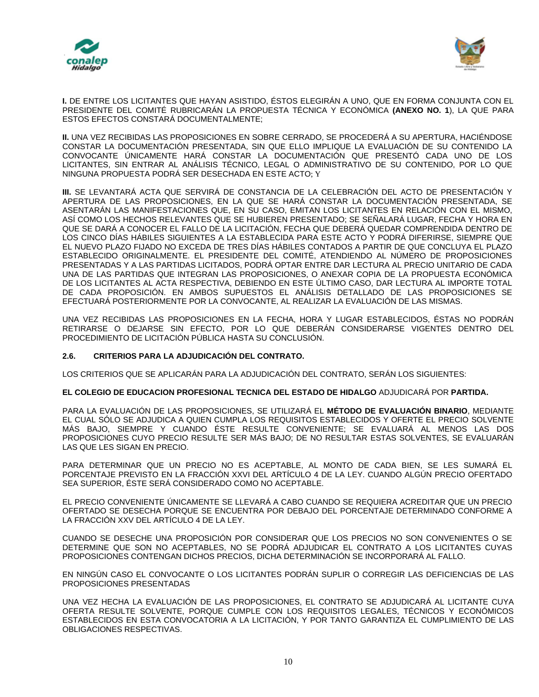



**I.** DE ENTRE LOS LICITANTES QUE HAYAN ASISTIDO, ÉSTOS ELEGIRÁN A UNO, QUE EN FORMA CONJUNTA CON EL PRESIDENTE DEL COMITÉ RUBRICARÁN LA PROPUESTA TÉCNICA Y ECONÓMICA **(ANEXO NO. 1**), LA QUE PARA ESTOS EFECTOS CONSTARÁ DOCUMENTALMENTE;

**II.** UNA VEZ RECIBIDAS LAS PROPOSICIONES EN SOBRE CERRADO, SE PROCEDERÁ A SU APERTURA, HACIÉNDOSE CONSTAR LA DOCUMENTACIÓN PRESENTADA, SIN QUE ELLO IMPLIQUE LA EVALUACIÓN DE SU CONTENIDO LA CONVOCANTE ÚNICAMENTE HARÁ CONSTAR LA DOCUMENTACIÓN QUE PRESENTÓ CADA UNO DE LOS LICITANTES, SIN ENTRAR AL ANÁLISIS TÉCNICO, LEGAL O ADMINISTRATIVO DE SU CONTENIDO, POR LO QUE NINGUNA PROPUESTA PODRÁ SER DESECHADA EN ESTE ACTO; Y

**III.** SE LEVANTARÁ ACTA QUE SERVIRÁ DE CONSTANCIA DE LA CELEBRACIÓN DEL ACTO DE PRESENTACIÓN Y APERTURA DE LAS PROPOSICIONES, EN LA QUE SE HARÁ CONSTAR LA DOCUMENTACIÓN PRESENTADA, SE ASENTARÁN LAS MANIFESTACIONES QUE, EN SU CASO, EMITAN LOS LICITANTES EN RELACIÓN CON EL MISMO, ASÍ COMO LOS HECHOS RELEVANTES QUE SE HUBIEREN PRESENTADO; SE SEÑALARÁ LUGAR, FECHA Y HORA EN QUE SE DARÁ A CONOCER EL FALLO DE LA LICITACIÓN, FECHA QUE DEBERÁ QUEDAR COMPRENDIDA DENTRO DE LOS CINCO DÍAS HÁBILES SIGUIENTES A LA ESTABLECIDA PARA ESTE ACTO Y PODRÁ DIFERIRSE, SIEMPRE QUE EL NUEVO PLAZO FIJADO NO EXCEDA DE TRES DÍAS HÁBILES CONTADOS A PARTIR DE QUE CONCLUYA EL PLAZO ESTABLECIDO ORIGINALMENTE. EL PRESIDENTE DEL COMITÉ, ATENDIENDO AL NÚMERO DE PROPOSICIONES PRESENTADAS Y A LAS PARTIDAS LICITADOS, PODRÁ OPTAR ENTRE DAR LECTURA AL PRECIO UNITARIO DE CADA UNA DE LAS PARTIDAS QUE INTEGRAN LAS PROPOSICIONES, O ANEXAR COPIA DE LA PROPUESTA ECONÓMICA DE LOS LICITANTES AL ACTA RESPECTIVA, DEBIENDO EN ESTE ÚLTIMO CASO, DAR LECTURA AL IMPORTE TOTAL DE CADA PROPOSICIÓN. EN AMBOS SUPUESTOS EL ANÁLISIS DETALLADO DE LAS PROPOSICIONES SE EFECTUARÁ POSTERIORMENTE POR LA CONVOCANTE, AL REALIZAR LA EVALUACIÓN DE LAS MISMAS.

UNA VEZ RECIBIDAS LAS PROPOSICIONES EN LA FECHA, HORA Y LUGAR ESTABLECIDOS, ÉSTAS NO PODRÁN RETIRARSE O DEJARSE SIN EFECTO, POR LO QUE DEBERÁN CONSIDERARSE VIGENTES DENTRO DEL PROCEDIMIENTO DE LICITACIÓN PÚBLICA HASTA SU CONCLUSIÓN.

# **2.6. CRITERIOS PARA LA ADJUDICACIÓN DEL CONTRATO.**

LOS CRITERIOS QUE SE APLICARÁN PARA LA ADJUDICACIÓN DEL CONTRATO, SERÁN LOS SIGUIENTES:

### **EL COLEGIO DE EDUCACION PROFESIONAL TECNICA DEL ESTADO DE HIDALGO** ADJUDICARÁ POR **PARTIDA.**

PARA LA EVALUACIÓN DE LAS PROPOSICIONES, SE UTILIZARÁ EL **MÉTODO DE EVALUACIÓN BINARIO**, MEDIANTE EL CUAL SÓLO SE ADJUDICA A QUIEN CUMPLA LOS REQUISITOS ESTABLECIDOS Y OFERTE EL PRECIO SOLVENTE MÁS BAJO, SIEMPRE Y CUANDO ÉSTE RESULTE CONVENIENTE; SE EVALUARÁ AL MENOS LAS DOS PROPOSICIONES CUYO PRECIO RESULTE SER MÁS BAJO; DE NO RESULTAR ESTAS SOLVENTES, SE EVALUARÁN LAS QUE LES SIGAN EN PRECIO.

PARA DETERMINAR QUE UN PRECIO NO ES ACEPTABLE, AL MONTO DE CADA BIEN, SE LES SUMARÁ EL PORCENTAJE PREVISTO EN LA FRACCIÓN XXVI DEL ARTÍCULO 4 DE LA LEY. CUANDO ALGÚN PRECIO OFERTADO SEA SUPERIOR, ÉSTE SERÁ CONSIDERADO COMO NO ACEPTABLE.

EL PRECIO CONVENIENTE ÚNICAMENTE SE LLEVARÁ A CABO CUANDO SE REQUIERA ACREDITAR QUE UN PRECIO OFERTADO SE DESECHA PORQUE SE ENCUENTRA POR DEBAJO DEL PORCENTAJE DETERMINADO CONFORME A LA FRACCIÓN XXV DEL ARTÍCULO 4 DE LA LEY.

CUANDO SE DESECHE UNA PROPOSICIÓN POR CONSIDERAR QUE LOS PRECIOS NO SON CONVENIENTES O SE DETERMINE QUE SON NO ACEPTABLES, NO SE PODRÁ ADJUDICAR EL CONTRATO A LOS LICITANTES CUYAS PROPOSICIONES CONTENGAN DICHOS PRECIOS, DICHA DETERMINACIÓN SE INCORPORARÁ AL FALLO.

EN NINGÚN CASO EL CONVOCANTE O LOS LICITANTES PODRÁN SUPLIR O CORREGIR LAS DEFICIENCIAS DE LAS PROPOSICIONES PRESENTADAS

UNA VEZ HECHA LA EVALUACIÓN DE LAS PROPOSICIONES, EL CONTRATO SE ADJUDICARÁ AL LICITANTE CUYA OFERTA RESULTE SOLVENTE, PORQUE CUMPLE CON LOS REQUISITOS LEGALES, TÉCNICOS Y ECONÓMICOS ESTABLECIDOS EN ESTA CONVOCATORIA A LA LICITACIÓN, Y POR TANTO GARANTIZA EL CUMPLIMIENTO DE LAS OBLIGACIONES RESPECTIVAS.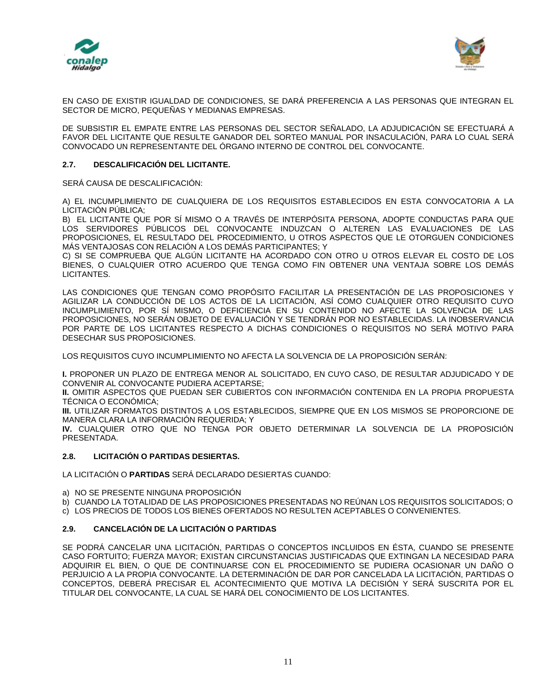



EN CASO DE EXISTIR IGUALDAD DE CONDICIONES, SE DARÁ PREFERENCIA A LAS PERSONAS QUE INTEGRAN EL SECTOR DE MICRO, PEQUEÑAS Y MEDIANAS EMPRESAS.

DE SUBSISTIR EL EMPATE ENTRE LAS PERSONAS DEL SECTOR SEÑALADO, LA ADJUDICACIÓN SE EFECTUARÁ A FAVOR DEL LICITANTE QUE RESULTE GANADOR DEL SORTEO MANUAL POR INSACULACIÓN, PARA LO CUAL SERÁ CONVOCADO UN REPRESENTANTE DEL ÓRGANO INTERNO DE CONTROL DEL CONVOCANTE.

## **2.7. DESCALIFICACIÓN DEL LICITANTE.**

SERÁ CAUSA DE DESCALIFICACIÓN:

A) EL INCUMPLIMIENTO DE CUALQUIERA DE LOS REQUISITOS ESTABLECIDOS EN ESTA CONVOCATORIA A LA LICITACIÓN PÚBLICA;

B) EL LICITANTE QUE POR SÍ MISMO O A TRAVÉS DE INTERPÓSITA PERSONA, ADOPTE CONDUCTAS PARA QUE LOS SERVIDORES PÚBLICOS DEL CONVOCANTE INDUZCAN O ALTEREN LAS EVALUACIONES DE LAS PROPOSICIONES, EL RESULTADO DEL PROCEDIMIENTO, U OTROS ASPECTOS QUE LE OTORGUEN CONDICIONES MÁS VENTAJOSAS CON RELACIÓN A LOS DEMÁS PARTICIPANTES; Y

C) SI SE COMPRUEBA QUE ALGÚN LICITANTE HA ACORDADO CON OTRO U OTROS ELEVAR EL COSTO DE LOS BIENES, O CUALQUIER OTRO ACUERDO QUE TENGA COMO FIN OBTENER UNA VENTAJA SOBRE LOS DEMÁS LICITANTES.

LAS CONDICIONES QUE TENGAN COMO PROPÓSITO FACILITAR LA PRESENTACIÓN DE LAS PROPOSICIONES Y AGILIZAR LA CONDUCCIÓN DE LOS ACTOS DE LA LICITACIÓN, ASÍ COMO CUALQUIER OTRO REQUISITO CUYO INCUMPLIMIENTO, POR SÍ MISMO, O DEFICIENCIA EN SU CONTENIDO NO AFECTE LA SOLVENCIA DE LAS PROPOSICIONES, NO SERÁN OBJETO DE EVALUACIÓN Y SE TENDRÁN POR NO ESTABLECIDAS. LA INOBSERVANCIA POR PARTE DE LOS LICITANTES RESPECTO A DICHAS CONDICIONES O REQUISITOS NO SERÁ MOTIVO PARA DESECHAR SUS PROPOSICIONES.

LOS REQUISITOS CUYO INCUMPLIMIENTO NO AFECTA LA SOLVENCIA DE LA PROPOSICIÓN SERÁN:

**I.** PROPONER UN PLAZO DE ENTREGA MENOR AL SOLICITADO, EN CUYO CASO, DE RESULTAR ADJUDICADO Y DE CONVENIR AL CONVOCANTE PUDIERA ACEPTARSE;

**II.** OMITIR ASPECTOS QUE PUEDAN SER CUBIERTOS CON INFORMACIÓN CONTENIDA EN LA PROPIA PROPUESTA TÉCNICA O ECONÓMICA;

**III.** UTILIZAR FORMATOS DISTINTOS A LOS ESTABLECIDOS, SIEMPRE QUE EN LOS MISMOS SE PROPORCIONE DE MANERA CLARA LA INFORMACIÓN REQUERIDA; Y

**IV.** CUALQUIER OTRO QUE NO TENGA POR OBJETO DETERMINAR LA SOLVENCIA DE LA PROPOSICIÓN PRESENTADA.

# **2.8. LICITACIÓN O PARTIDAS DESIERTAS.**

LA LICITACIÓN O **PARTIDAS** SERÁ DECLARADO DESIERTAS CUANDO:

- a) NO SE PRESENTE NINGUNA PROPOSICIÓN
- b) CUANDO LA TOTALIDAD DE LAS PROPOSICIONES PRESENTADAS NO REÚNAN LOS REQUISITOS SOLICITADOS; O
- c) LOS PRECIOS DE TODOS LOS BIENES OFERTADOS NO RESULTEN ACEPTABLES O CONVENIENTES.

# **2.9. CANCELACIÓN DE LA LICITACIÓN O PARTIDAS**

SE PODRÁ CANCELAR UNA LICITACIÓN, PARTIDAS O CONCEPTOS INCLUIDOS EN ÉSTA, CUANDO SE PRESENTE CASO FORTUITO; FUERZA MAYOR; EXISTAN CIRCUNSTANCIAS JUSTIFICADAS QUE EXTINGAN LA NECESIDAD PARA ADQUIRIR EL BIEN, O QUE DE CONTINUARSE CON EL PROCEDIMIENTO SE PUDIERA OCASIONAR UN DAÑO O PERJUICIO A LA PROPIA CONVOCANTE. LA DETERMINACIÓN DE DAR POR CANCELADA LA LICITACIÓN, PARTIDAS O CONCEPTOS, DEBERÁ PRECISAR EL ACONTECIMIENTO QUE MOTIVA LA DECISIÓN Y SERÁ SUSCRITA POR EL TITULAR DEL CONVOCANTE, LA CUAL SE HARÁ DEL CONOCIMIENTO DE LOS LICITANTES.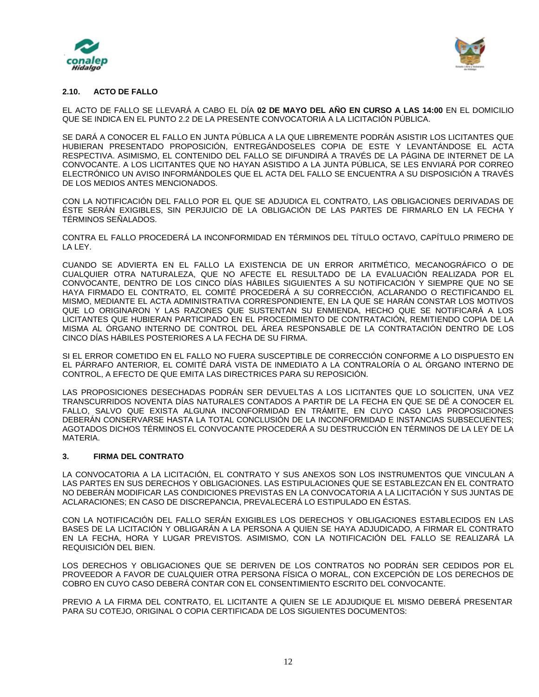



## **2.10. ACTO DE FALLO**

EL ACTO DE FALLO SE LLEVARÁ A CABO EL DÍA **02 DE MAYO DEL AÑO EN CURSO A LAS 14:00** EN EL DOMICILIO QUE SE INDICA EN EL PUNTO 2.2 DE LA PRESENTE CONVOCATORIA A LA LICITACIÓN PÚBLICA.

SE DARÁ A CONOCER EL FALLO EN JUNTA PÚBLICA A LA QUE LIBREMENTE PODRÁN ASISTIR LOS LICITANTES QUE HUBIERAN PRESENTADO PROPOSICIÓN, ENTREGÁNDOSELES COPIA DE ESTE Y LEVANTÁNDOSE EL ACTA RESPECTIVA. ASIMISMO, EL CONTENIDO DEL FALLO SE DIFUNDIRÁ A TRAVÉS DE LA PÁGINA DE INTERNET DE LA CONVOCANTE. A LOS LICITANTES QUE NO HAYAN ASISTIDO A LA JUNTA PÚBLICA, SE LES ENVIARÁ POR CORREO ELECTRÓNICO UN AVISO INFORMÁNDOLES QUE EL ACTA DEL FALLO SE ENCUENTRA A SU DISPOSICIÓN A TRAVÉS DE LOS MEDIOS ANTES MENCIONADOS.

CON LA NOTIFICACIÓN DEL FALLO POR EL QUE SE ADJUDICA EL CONTRATO, LAS OBLIGACIONES DERIVADAS DE ÉSTE SERÁN EXIGIBLES, SIN PERJUICIO DE LA OBLIGACIÓN DE LAS PARTES DE FIRMARLO EN LA FECHA Y TÉRMINOS SEÑALADOS.

CONTRA EL FALLO PROCEDERÁ LA INCONFORMIDAD EN TÉRMINOS DEL TÍTULO OCTAVO, CAPÍTULO PRIMERO DE LA LEY.

CUANDO SE ADVIERTA EN EL FALLO LA EXISTENCIA DE UN ERROR ARITMÉTICO, MECANOGRÁFICO O DE CUALQUIER OTRA NATURALEZA, QUE NO AFECTE EL RESULTADO DE LA EVALUACIÓN REALIZADA POR EL CONVOCANTE, DENTRO DE LOS CINCO DÍAS HÁBILES SIGUIENTES A SU NOTIFICACIÓN Y SIEMPRE QUE NO SE HAYA FIRMADO EL CONTRATO, EL COMITÉ PROCEDERÁ A SU CORRECCIÓN, ACLARANDO O RECTIFICANDO EL MISMO, MEDIANTE EL ACTA ADMINISTRATIVA CORRESPONDIENTE, EN LA QUE SE HARÁN CONSTAR LOS MOTIVOS QUE LO ORIGINARON Y LAS RAZONES QUE SUSTENTAN SU ENMIENDA, HECHO QUE SE NOTIFICARÁ A LOS LICITANTES QUE HUBIERAN PARTICIPADO EN EL PROCEDIMIENTO DE CONTRATACIÓN, REMITIENDO COPIA DE LA MISMA AL ÓRGANO INTERNO DE CONTROL DEL ÁREA RESPONSABLE DE LA CONTRATACIÓN DENTRO DE LOS CINCO DÍAS HÁBILES POSTERIORES A LA FECHA DE SU FIRMA.

SI EL ERROR COMETIDO EN EL FALLO NO FUERA SUSCEPTIBLE DE CORRECCIÓN CONFORME A LO DISPUESTO EN EL PÁRRAFO ANTERIOR, EL COMITÉ DARÁ VISTA DE INMEDIATO A LA CONTRALORÍA O AL ÓRGANO INTERNO DE CONTROL, A EFECTO DE QUE EMITA LAS DIRECTRICES PARA SU REPOSICIÓN.

LAS PROPOSICIONES DESECHADAS PODRÁN SER DEVUELTAS A LOS LICITANTES QUE LO SOLICITEN, UNA VEZ TRANSCURRIDOS NOVENTA DÍAS NATURALES CONTADOS A PARTIR DE LA FECHA EN QUE SE DÉ A CONOCER EL FALLO, SALVO QUE EXISTA ALGUNA INCONFORMIDAD EN TRÁMITE, EN CUYO CASO LAS PROPOSICIONES DEBERÁN CONSERVARSE HASTA LA TOTAL CONCLUSIÓN DE LA INCONFORMIDAD E INSTANCIAS SUBSECUENTES; AGOTADOS DICHOS TÉRMINOS EL CONVOCANTE PROCEDERÁ A SU DESTRUCCIÓN EN TÉRMINOS DE LA LEY DE LA MATERIA.

### **3. FIRMA DEL CONTRATO**

LA CONVOCATORIA A LA LICITACIÓN, EL CONTRATO Y SUS ANEXOS SON LOS INSTRUMENTOS QUE VINCULAN A LAS PARTES EN SUS DERECHOS Y OBLIGACIONES. LAS ESTIPULACIONES QUE SE ESTABLEZCAN EN EL CONTRATO NO DEBERÁN MODIFICAR LAS CONDICIONES PREVISTAS EN LA CONVOCATORIA A LA LICITACIÓN Y SUS JUNTAS DE ACLARACIONES; EN CASO DE DISCREPANCIA, PREVALECERÁ LO ESTIPULADO EN ÉSTAS.

CON LA NOTIFICACIÓN DEL FALLO SERÁN EXIGIBLES LOS DERECHOS Y OBLIGACIONES ESTABLECIDOS EN LAS BASES DE LA LICITACIÓN Y OBLIGARÁN A LA PERSONA A QUIEN SE HAYA ADJUDICADO, A FIRMAR EL CONTRATO EN LA FECHA, HORA Y LUGAR PREVISTOS. ASIMISMO, CON LA NOTIFICACIÓN DEL FALLO SE REALIZARÁ LA REQUISICIÓN DEL BIEN.

LOS DERECHOS Y OBLIGACIONES QUE SE DERIVEN DE LOS CONTRATOS NO PODRÁN SER CEDIDOS POR EL PROVEEDOR A FAVOR DE CUALQUIER OTRA PERSONA FÍSICA O MORAL, CON EXCEPCIÓN DE LOS DERECHOS DE COBRO EN CUYO CASO DEBERÁ CONTAR CON EL CONSENTIMIENTO ESCRITO DEL CONVOCANTE.

PREVIO A LA FIRMA DEL CONTRATO, EL LICITANTE A QUIEN SE LE ADJUDIQUE EL MISMO DEBERÁ PRESENTAR PARA SU COTEJO, ORIGINAL O COPIA CERTIFICADA DE LOS SIGUIENTES DOCUMENTOS: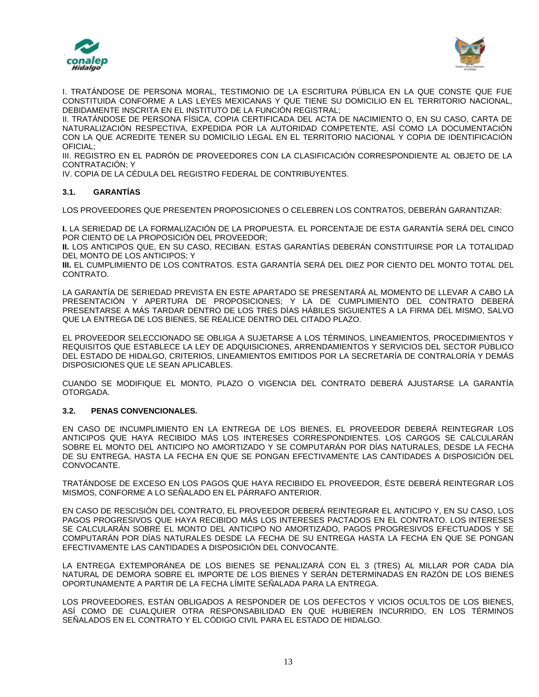



I. TRATÁNDOSE DE PERSONA MORAL, TESTIMONIO DE LA ESCRITURA PÚBLICA EN LA QUE CONSTE QUE FUE CONSTITUIDA CONFORME A LAS LEYES MEXICANAS Y QUE TIENE SU DOMICILIO EN EL TERRITORIO NACIONAL, DEBIDAMENTE INSCRITA EN EL INSTITUTO DE LA FUNCIÓN REGISTRAL;

II. TRATÁNDOSE DE PERSONA FÍSICA, COPIA CERTIFICADA DEL ACTA DE NACIMIENTO O, EN SU CASO, CARTA DE NATURALIZACIÓN RESPECTIVA, EXPEDIDA POR LA AUTORIDAD COMPETENTE, ASÍ COMO LA DOCUMENTACIÓN CON LA QUE ACREDITE TENER SU DOMICILIO LEGAL EN EL TERRITORIO NACIONAL Y COPIA DE IDENTIFICACIÓN OFICIAL;

III. REGISTRO EN EL PADRÓN DE PROVEEDORES CON LA CLASIFICACIÓN CORRESPONDIENTE AL OBJETO DE LA CONTRATACIÓN; Y

IV. COPIA DE LA CÉDULA DEL REGISTRO FEDERAL DE CONTRIBUYENTES.

# **3.1. GARANTÍAS**

LOS PROVEEDORES QUE PRESENTEN PROPOSICIONES O CELEBREN LOS CONTRATOS, DEBERÁN GARANTIZAR:

**I.** LA SERIEDAD DE LA FORMALIZACIÓN DE LA PROPUESTA. EL PORCENTAJE DE ESTA GARANTÍA SERÁ DEL CINCO POR CIENTO DE LA PROPOSICIÓN DEL PROVEEDOR;

**II.** LOS ANTICIPOS QUE, EN SU CASO, RECIBAN. ESTAS GARANTÍAS DEBERÁN CONSTITUIRSE POR LA TOTALIDAD DEL MONTO DE LOS ANTICIPOS; Y

**III.** EL CUMPLIMIENTO DE LOS CONTRATOS. ESTA GARANTÍA SERÁ DEL DIEZ POR CIENTO DEL MONTO TOTAL DEL CONTRATO.

LA GARANTÍA DE SERIEDAD PREVISTA EN ESTE APARTADO SE PRESENTARÁ AL MOMENTO DE LLEVAR A CABO LA PRESENTACIÓN Y APERTURA DE PROPOSICIONES; Y LA DE CUMPLIMIENTO DEL CONTRATO DEBERÁ PRESENTARSE A MÁS TARDAR DENTRO DE LOS TRES DÍAS HÁBILES SIGUIENTES A LA FIRMA DEL MISMO, SALVO QUE LA ENTREGA DE LOS BIENES, SE REALICE DENTRO DEL CITADO PLAZO.

EL PROVEEDOR SELECCIONADO SE OBLIGA A SUJETARSE A LOS TÉRMINOS, LINEAMIENTOS, PROCEDIMIENTOS Y REQUISITOS QUE ESTABLECE LA LEY DE ADQUISICIONES, ARRENDAMIENTOS Y SERVICIOS DEL SECTOR PÙBLICO DEL ESTADO DE HIDALGO, CRITERIOS, LINEAMIENTOS EMITIDOS POR LA SECRETARÍA DE CONTRALORÍA Y DEMÁS DISPOSICIONES QUE LE SEAN APLICABLES.

CUANDO SE MODIFIQUE EL MONTO, PLAZO O VIGENCIA DEL CONTRATO DEBERÁ AJUSTARSE LA GARANTÍA OTORGADA.

### **3.2. PENAS CONVENCIONALES.**

EN CASO DE INCUMPLIMIENTO EN LA ENTREGA DE LOS BIENES, EL PROVEEDOR DEBERÁ REINTEGRAR LOS ANTICIPOS QUE HAYA RECIBIDO MÁS LOS INTERESES CORRESPONDIENTES. LOS CARGOS SE CALCULARÁN SOBRE EL MONTO DEL ANTICIPO NO AMORTIZADO Y SE COMPUTARÁN POR DÍAS NATURALES, DESDE LA FECHA DE SU ENTREGA, HASTA LA FECHA EN QUE SE PONGAN EFECTIVAMENTE LAS CANTIDADES A DISPOSICIÓN DEL CONVOCANTE.

TRATÁNDOSE DE EXCESO EN LOS PAGOS QUE HAYA RECIBIDO EL PROVEEDOR, ÉSTE DEBERÁ REINTEGRAR LOS MISMOS, CONFORME A LO SEÑALADO EN EL PÁRRAFO ANTERIOR.

EN CASO DE RESCISIÓN DEL CONTRATO, EL PROVEEDOR DEBERÁ REINTEGRAR EL ANTICIPO Y, EN SU CASO, LOS PAGOS PROGRESIVOS QUE HAYA RECIBIDO MÁS LOS INTERESES PACTADOS EN EL CONTRATO. LOS INTERESES SE CALCULARÁN SOBRE EL MONTO DEL ANTICIPO NO AMORTIZADO, PAGOS PROGRESIVOS EFECTUADOS Y SE COMPUTARÁN POR DÍAS NATURALES DESDE LA FECHA DE SU ENTREGA HASTA LA FECHA EN QUE SE PONGAN EFECTIVAMENTE LAS CANTIDADES A DISPOSICIÓN DEL CONVOCANTE.

LA ENTREGA EXTEMPORÁNEA DE LOS BIENES SE PENALIZARÁ CON EL 3 (TRES) AL MILLAR POR CADA DÍA NATURAL DE DEMORA SOBRE EL IMPORTE DE LOS BIENES Y SERÁN DETERMINADAS EN RAZÓN DE LOS BIENES OPORTUNAMENTE A PARTIR DE LA FECHA LÍMITE SEÑALADA PARA LA ENTREGA.

LOS PROVEEDORES, ESTÁN OBLIGADOS A RESPONDER DE LOS DEFECTOS Y VICIOS OCULTOS DE LOS BIENES, ASÍ COMO DE CUALQUIER OTRA RESPONSABILIDAD EN QUE HUBIEREN INCURRIDO, EN LOS TÉRMINOS SEÑALADOS EN EL CONTRATO Y EL CÓDIGO CIVIL PARA EL ESTADO DE HIDALGO.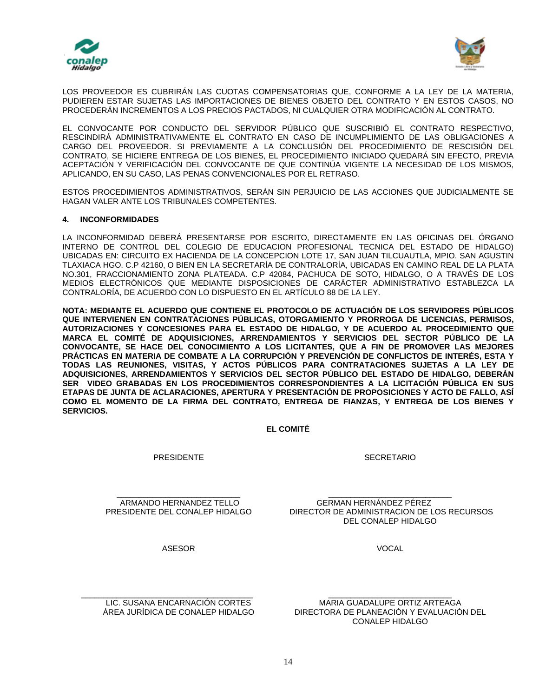



LOS PROVEEDOR ES CUBRIRÁN LAS CUOTAS COMPENSATORIAS QUE, CONFORME A LA LEY DE LA MATERIA, PUDIEREN ESTAR SUJETAS LAS IMPORTACIONES DE BIENES OBJETO DEL CONTRATO Y EN ESTOS CASOS, NO PROCEDERÁN INCREMENTOS A LOS PRECIOS PACTADOS, NI CUALQUIER OTRA MODIFICACIÓN AL CONTRATO.

EL CONVOCANTE POR CONDUCTO DEL SERVIDOR PÚBLICO QUE SUSCRIBIÓ EL CONTRATO RESPECTIVO, RESCINDIRÁ ADMINISTRATIVAMENTE EL CONTRATO EN CASO DE INCUMPLIMIENTO DE LAS OBLIGACIONES A CARGO DEL PROVEEDOR. SI PREVIAMENTE A LA CONCLUSIÓN DEL PROCEDIMIENTO DE RESCISIÓN DEL CONTRATO, SE HICIERE ENTREGA DE LOS BIENES, EL PROCEDIMIENTO INICIADO QUEDARÁ SIN EFECTO, PREVIA ACEPTACIÓN Y VERIFICACIÓN DEL CONVOCANTE DE QUE CONTINÚA VIGENTE LA NECESIDAD DE LOS MISMOS, APLICANDO, EN SU CASO, LAS PENAS CONVENCIONALES POR EL RETRASO.

ESTOS PROCEDIMIENTOS ADMINISTRATIVOS, SERÁN SIN PERJUICIO DE LAS ACCIONES QUE JUDICIALMENTE SE HAGAN VALER ANTE LOS TRIBUNALES COMPETENTES.

### **4. INCONFORMIDADES**

LA INCONFORMIDAD DEBERÁ PRESENTARSE POR ESCRITO, DIRECTAMENTE EN LAS OFICINAS DEL ÓRGANO INTERNO DE CONTROL DEL COLEGIO DE EDUCACION PROFESIONAL TECNICA DEL ESTADO DE HIDALGO) UBICADAS EN: CIRCUITO EX HACIENDA DE LA CONCEPCION LOTE 17, SAN JUAN TILCUAUTLA, MPIO. SAN AGUSTIN TLAXIACA HGO. C.P 42160, O BIEN EN LA SECRETARÍA DE CONTRALORÍA, UBICADAS EN CAMINO REAL DE LA PLATA NO.301, FRACCIONAMIENTO ZONA PLATEADA. C.P 42084, PACHUCA DE SOTO, HIDALGO, O A TRAVÉS DE LOS MEDIOS ELECTRÓNICOS QUE MEDIANTE DISPOSICIONES DE CARÁCTER ADMINISTRATIVO ESTABLEZCA LA CONTRALORÍA, DE ACUERDO CON LO DISPUESTO EN EL ARTÍCULO 88 DE LA LEY.

**NOTA: MEDIANTE EL ACUERDO QUE CONTIENE EL PROTOCOLO DE ACTUACIÓN DE LOS SERVIDORES PÚBLICOS QUE INTERVIENEN EN CONTRATACIONES PÚBLICAS, OTORGAMIENTO Y PRORROGA DE LICENCIAS, PERMISOS, AUTORIZACIONES Y CONCESIONES PARA EL ESTADO DE HIDALGO, Y DE ACUERDO AL PROCEDIMIENTO QUE MARCA EL COMITÉ DE ADQUISICIONES, ARRENDAMIENTOS Y SERVICIOS DEL SECTOR PÚBLICO DE LA CONVOCANTE, SE HACE DEL CONOCIMIENTO A LOS LICITANTES, QUE A FIN DE PROMOVER LAS MEJORES PRÁCTICAS EN MATERIA DE COMBATE A LA CORRUPCIÓN Y PREVENCIÓN DE CONFLICTOS DE INTERÉS, ESTA Y TODAS LAS REUNIONES, VISITAS, Y ACTOS PÚBLICOS PARA CONTRATACIONES SUJETAS A LA LEY DE ADQUISICIONES, ARRENDAMIENTOS Y SERVICIOS DEL SECTOR PÚBLICO DEL ESTADO DE HIDALGO, DEBERÁN SER VIDEO GRABADAS EN LOS PROCEDIMIENTOS CORRESPONDIENTES A LA LICITACIÓN PÚBLICA EN SUS ETAPAS DE JUNTA DE ACLARACIONES, APERTURA Y PRESENTACIÓN DE PROPOSICIONES Y ACTO DE FALLO, ASÍ COMO EL MOMENTO DE LA FIRMA DEL CONTRATO, ENTREGA DE FIANZAS, Y ENTREGA DE LOS BIENES Y SERVICIOS.**

**EL COMITÉ**

PRESIDENTE

**SECRETARIO** 

\_\_\_\_\_\_\_\_\_\_\_\_\_\_\_\_\_\_\_\_\_\_\_\_\_\_\_\_ ARMANDO HERNANDEZ TELLO PRESIDENTE DEL CONALEP HIDALGO

\_\_\_\_\_\_\_\_\_\_\_\_\_\_\_\_\_\_\_\_\_\_\_\_\_\_\_\_ GERMAN HERNÁNDEZ PÉREZ DIRECTOR DE ADMINISTRACION DE LOS RECURSOS DEL CONALEP HIDALGO

VOCAL

ASESOR

\_\_\_\_\_\_\_\_\_\_\_\_\_\_\_\_\_\_\_\_\_\_\_\_\_\_\_\_\_\_\_\_\_\_\_\_\_\_\_ LIC. SUSANA ENCARNACIÓN CORTES ÁREA JURÍDICA DE CONALEP HIDALGO

\_\_\_\_\_\_\_\_\_\_\_\_\_\_\_\_\_\_\_\_\_\_\_\_\_\_\_\_ MARIA GUADALUPE ORTIZ ARTEAGA DIRECTORA DE PLANEACIÓN Y EVALUACIÓN DEL CONALEP HIDALGO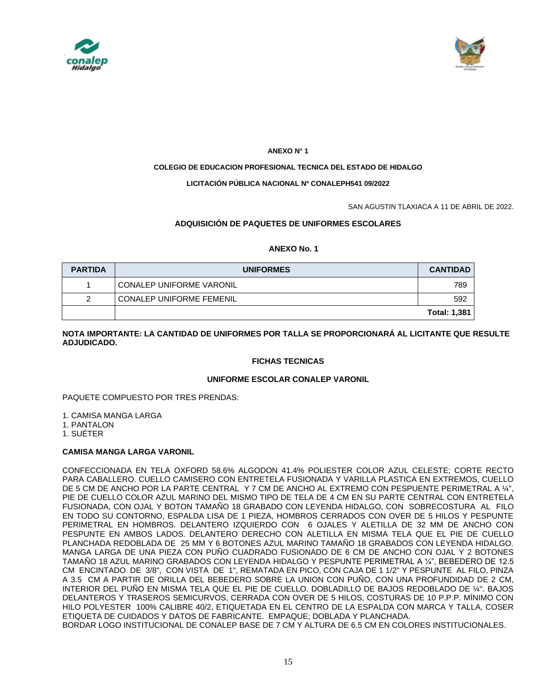



### **ANEXO N° 1**

### **COLEGIO DE EDUCACION PROFESIONAL TECNICA DEL ESTADO DE HIDALGO**

### **LICITACIÓN PÚBLICA NACIONAL Nº CONALEPH541 09/2022**

SAN AGUSTIN TLAXIACA A 11 DE ABRIL DE 2022.

# **ADQUISICIÓN DE PAQUETES DE UNIFORMES ESCOLARES**

### **ANEXO No. 1**

| <b>PARTIDA</b> | <b>UNIFORMES</b>                | <b>CANTIDAD</b>     |
|----------------|---------------------------------|---------------------|
|                | <b>CONALEP UNIFORME VARONIL</b> | 789                 |
| っ              | <b>CONALEP UNIFORME FEMENIL</b> | 592                 |
|                |                                 | <b>Total: 1,381</b> |

### **NOTA IMPORTANTE: LA CANTIDAD DE UNIFORMES POR TALLA SE PROPORCIONARÁ AL LICITANTE QUE RESULTE ADJUDICADO.**

# **FICHAS TECNICAS**

### **UNIFORME ESCOLAR CONALEP VARONIL**

### PAQUETE COMPUESTO POR TRES PRENDAS:

1. CAMISA MANGA LARGA

1. PANTALON

1. SUÉTER

# **CAMISA MANGA LARGA VARONIL**

CONFECCIONADA EN TELA OXFORD 58.6% ALGODON 41.4% POLIESTER COLOR AZUL CELESTE; CORTE RECTO PARA CABALLERO. CUELLO CAMISERO CON ENTRETELA FUSIONADA Y VARILLA PLASTICA EN EXTREMOS, CUELLO DE 5 CM DE ANCHO POR LA PARTE CENTRAL Y 7 CM DE ANCHO AL EXTREMO CON PESPUENTE PERIMETRAL A ¼", PIE DE CUELLO COLOR AZUL MARINO DEL MISMO TIPO DE TELA DE 4 CM EN SU PARTE CENTRAL CON ENTRETELA FUSIONADA, CON OJAL Y BOTON TAMAÑO 18 GRABADO CON LEYENDA HIDALGO, CON SOBRECOSTURA AL FILO EN TODO SU CONTORNO, ESPALDA LISA DE 1 PIEZA, HOMBROS CERRADOS CON OVER DE 5 HILOS Y PESPUNTE PERIMETRAL EN HOMBROS. DELANTERO IZQUIERDO CON 6 OJALES Y ALETILLA DE 32 MM DE ANCHO CON PESPUNTE EN AMBOS LADOS. DELANTERO DERECHO CON ALETILLA EN MISMA TELA QUE EL PIE DE CUELLO PLANCHADA REDOBLADA DE 25 MM Y 6 BOTONES AZUL MARINO TAMAÑO 18 GRABADOS CON LEYENDA HIDALGO. MANGA LARGA DE UNA PIEZA CON PUÑO CUADRADO FUSIONADO DE 6 CM DE ANCHO CON OJAL Y 2 BOTONES TAMAÑO 18 AZUL MARINO GRABADOS CON LEYENDA HIDALGO Y PESPUNTE PERIMETRAL A ¼", BEBEDERO DE 12.5 CM ENCINTADO DE 3/8", CON VISTA DE 1", REMATADA EN PICO, CON CAJA DE 1 1/2" Y PESPUNTE AL FILO, PINZA A 3.5 CM A PARTIR DE ORILLA DEL BEBEDERO SOBRE LA UNION CON PUÑO, CON UNA PROFUNDIDAD DE 2 CM, INTERIOR DEL PUÑO EN MISMA TELA QUE EL PIE DE CUELLO. DOBLADILLO DE BAJOS REDOBLADO DE ¼". BAJOS DELANTEROS Y TRASEROS SEMICURVOS, CERRADA CON OVER DE 5 HILOS, COSTURAS DE 10 P.P.P. MÍNIMO CON HILO POLYESTER 100% CALIBRE 40/2, ETIQUETADA EN EL CENTRO DE LA ESPALDA CON MARCA Y TALLA, COSER ETIQUETA DE CUIDADOS Y DATOS DE FABRICANTE. EMPAQUE; DOBLADA Y PLANCHADA. BORDAR LOGO INSTITUCIONAL DE CONALEP BASE DE 7 CM Y ALTURA DE 6.5 CM EN COLORES INSTITUCIONALES.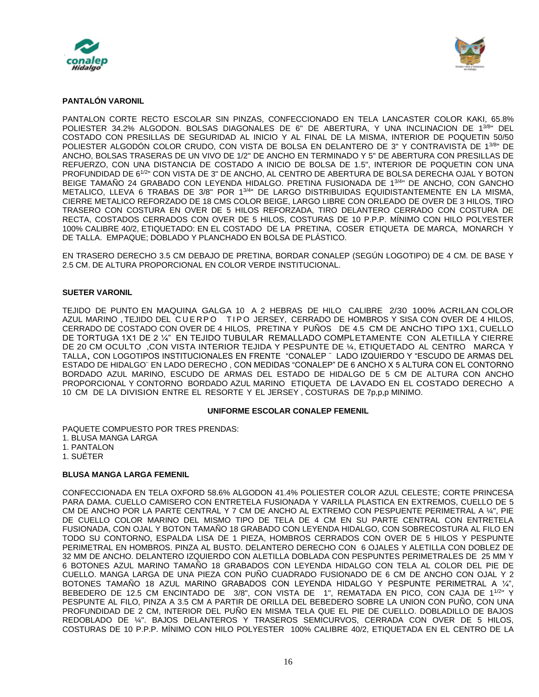



### **PANTALÓN VARONIL**

PANTALON CORTE RECTO ESCOLAR SIN PINZAS, CONFECCIONADO EN TELA LANCASTER COLOR KAKI, 65.8% POLIESTER 34.2% ALGODON. BOLSAS DIAGONALES DE 6" DE ABERTURA, Y UNA INCLINACION DE 13/8" DEL COSTADO CON PRESILLAS DE SEGURIDAD AL INICIO Y AL FINAL DE LA MISMA, INTERIOR DE POQUETIN 50/50 POLIESTER ALGODÓN COLOR CRUDO, CON VISTA DE BOLSA EN DELANTERO DE 3" Y CONTRAVISTA DE 13/8" DE ANCHO, BOLSAS TRASERAS DE UN VIVO DE 1/2" DE ANCHO EN TERMINADO Y 5" DE ABERTURA CON PRESILLAS DE REFUERZO, CON UNA DISTANCIA DE COSTADO A INICIO DE BOLSA DE 1.5", INTERIOR DE POQUETIN CON UNA PROFUNDIDAD DE 61/2" CON VISTA DE 3" DE ANCHO, AL CENTRO DE ABERTURA DE BOLSA DERECHA OJAL Y BOTON BEIGE TAMAÑO 24 GRABADO CON LEYENDA HIDALGO. PRETINA FUSIONADA DE 1<sup>3/4</sup>" DE ANCHO, CON GANCHO METALICO, LLEVA 6 TRABAS DE 3/8" POR 13/4" DE LARGO DISTRIBUIDAS EQUIDISTANTEMENTE EN LA MISMA, CIERRE METALICO REFORZADO DE 18 CMS COLOR BEIGE, LARGO LIBRE CON ORLEADO DE OVER DE 3 HILOS, TIRO TRASERO CON COSTURA EN OVER DE 5 HILOS REFORZADA, TIRO DELANTERO CERRADO CON COSTURA DE RECTA, COSTADOS CERRADOS CON OVER DE 5 HILOS, COSTURAS DE 10 P.P.P. MÍNIMO CON HILO POLYESTER 100% CALIBRE 40/2, ETIQUETADO: EN EL COSTADO DE LA PRETINA, COSER ETIQUETA DE MARCA, MONARCH Y DE TALLA. EMPAQUE; DOBLADO Y PLANCHADO EN BOLSA DE PLÁSTICO.

EN TRASERO DERECHO 3.5 CM DEBAJO DE PRETINA, BORDAR CONALEP (SEGÚN LOGOTIPO) DE 4 CM. DE BASE Y 2.5 CM. DE ALTURA PROPORCIONAL EN COLOR VERDE INSTITUCIONAL.

### **SUETER VARONIL**

TEJIDO DE PUNTO EN MAQUINA GALGA 10 A 2 HEBRAS DE HILO CALIBRE 2/30 100% ACRILAN COLOR AZUL MARINO, TEJIDO DEL CUERPO TIPO JERSEY, CERRADO DE HOMBROS Y SISA CON OVER DE 4 HILOS, CERRADO DE COSTADO CON OVER DE 4 HILOS, PRETINA Y PUÑOS DE 4.5 CM DE ANCHO TIPO 1X1, CUELLO DE TORTUGA 1X1 DE 2 ¼" EN TEJIDO TUBULAR REMALLADO COMPLETAMENTE CON ALETILLA Y CIERRE DE 20 CM OCULTO ,CON VISTA INTERIOR TEJIDA Y PESPUNTE DE ¼, ETIQUETADO AL CENTRO MARCA Y TALLA, CON LOGOTIPOS INSTITUCIONALES EN FRENTE "CONALEP ¨ LADO IZQUIERDO Y "ESCUDO DE ARMAS DEL ESTADO DE HIDALGO¨ EN LADO DERECHO , CON MEDIDAS "CONALEP" DE 6 ANCHO X 5 ALTURA CON EL CONTORNO BORDADO AZUL MARINO, ESCUDO DE ARMAS DEL ESTADO DE HIDALGO DE 5 CM DE ALTURA CON ANCHO PROPORCIONAL Y CONTORNO BORDADO AZUL MARINO ETIQUETA DE LAVADO EN EL COSTADO DERECHO A 10 CM DE LA DIVISION ENTRE EL RESORTE Y EL JERSEY , COSTURAS DE 7p,p,p MINIMO.

### **UNIFORME ESCOLAR CONALEP FEMENIL**

PAQUETE COMPUESTO POR TRES PRENDAS: 1. BLUSA MANGA LARGA 1. PANTALON

1. SUÉTER

### **BLUSA MANGA LARGA FEMENIL**

CONFECCIONADA EN TELA OXFORD 58.6% ALGODON 41.4% POLIESTER COLOR AZUL CELESTE; CORTE PRINCESA PARA DAMA. CUELLO CAMISERO CON ENTRETELA FUSIONADA Y VARILLA PLASTICA EN EXTREMOS, CUELLO DE 5 CM DE ANCHO POR LA PARTE CENTRAL Y 7 CM DE ANCHO AL EXTREMO CON PESPUENTE PERIMETRAL A ¼", PIE DE CUELLO COLOR MARINO DEL MISMO TIPO DE TELA DE 4 CM EN SU PARTE CENTRAL CON ENTRETELA FUSIONADA, CON OJAL Y BOTON TAMAÑO 18 GRABADO CON LEYENDA HIDALGO, CON SOBRECOSTURA AL FILO EN TODO SU CONTORNO, ESPALDA LISA DE 1 PIEZA, HOMBROS CERRADOS CON OVER DE 5 HILOS Y PESPUNTE PERIMETRAL EN HOMBROS. PINZA AL BUSTO. DELANTERO DERECHO CON 6 OJALES Y ALETILLA CON DOBLEZ DE 32 MM DE ANCHO. DELANTERO IZQUIERDO CON ALETILLA DOBLADA CON PESPUNTES PERIMETRALES DE 25 MM Y 6 BOTONES AZUL MARINO TAMAÑO 18 GRABADOS CON LEYENDA HIDALGO CON TELA AL COLOR DEL PIE DE CUELLO. MANGA LARGA DE UNA PIEZA CON PUÑO CUADRADO FUSIONADO DE 6 CM DE ANCHO CON OJAL Y 2 BOTONES TAMAÑO 18 AZUL MARINO GRABADOS CON LEYENDA HIDALGO Y PESPUNTE PERIMETRAL A ¼", BEBEDERO DE 12.5 CM ENCINTADO DE 3/8", CON VISTA DE 1", REMATADA EN PICO, CON CAJA DE 11/2" Y PESPUNTE AL FILO, PINZA A 3.5 CM A PARTIR DE ORILLA DEL BEBEDERO SOBRE LA UNION CON PUÑO, CON UNA PROFUNDIDAD DE 2 CM, INTERIOR DEL PUÑO EN MISMA TELA QUE EL PIE DE CUELLO. DOBLADILLO DE BAJOS REDOBLADO DE ¼". BAJOS DELANTEROS Y TRASEROS SEMICURVOS, CERRADA CON OVER DE 5 HILOS, COSTURAS DE 10 P.P.P. MÍNIMO CON HILO POLYESTER 100% CALIBRE 40/2, ETIQUETADA EN EL CENTRO DE LA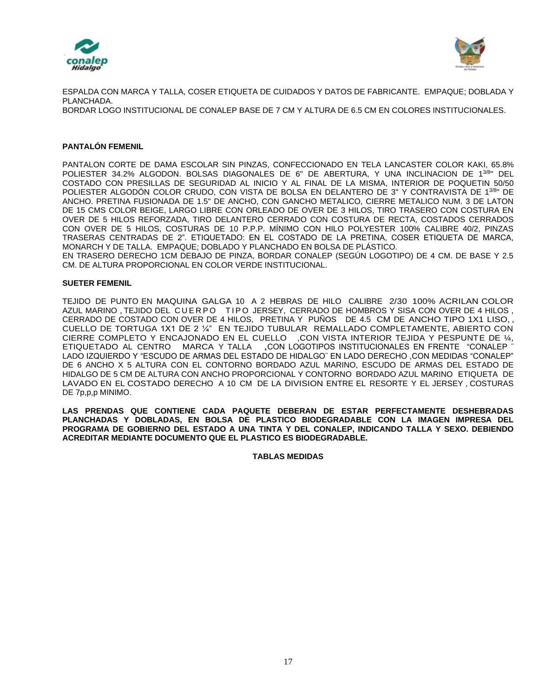



ESPALDA CON MARCA Y TALLA, COSER ETIQUETA DE CUIDADOS Y DATOS DE FABRICANTE. EMPAQUE; DOBLADA Y PLANCHADA. BORDAR LOGO INSTITUCIONAL DE CONALEP BASE DE 7 CM Y ALTURA DE 6.5 CM EN COLORES INSTITUCIONALES.

### **PANTALÓN FEMENIL**

PANTALON CORTE DE DAMA ESCOLAR SIN PINZAS, CONFECCIONADO EN TELA LANCASTER COLOR KAKI, 65.8% POLIESTER 34.2% ALGODON. BOLSAS DIAGONALES DE 6" DE ABERTURA, Y UNA INCLINACION DE 13/8" DEL COSTADO CON PRESILLAS DE SEGURIDAD AL INICIO Y AL FINAL DE LA MISMA, INTERIOR DE POQUETIN 50/50 POLIESTER ALGODÓN COLOR CRUDO, CON VISTA DE BOLSA EN DELANTERO DE 3" Y CONTRAVISTA DE 13/8" DE ANCHO. PRETINA FUSIONADA DE 1.5" DE ANCHO, CON GANCHO METALICO, CIERRE METALICO NUM. 3 DE LATON DE 15 CMS COLOR BEIGE, LARGO LIBRE CON ORLEADO DE OVER DE 3 HILOS, TIRO TRASERO CON COSTURA EN OVER DE 5 HILOS REFORZADA, TIRO DELANTERO CERRADO CON COSTURA DE RECTA, COSTADOS CERRADOS CON OVER DE 5 HILOS, COSTURAS DE 10 P.P.P. MÍNIMO CON HILO POLYESTER 100% CALIBRE 40/2, PINZAS TRASERAS CENTRADAS DE 2". ETIQUETADO: EN EL COSTADO DE LA PRETINA, COSER ETIQUETA DE MARCA, MONARCH Y DE TALLA. EMPAQUE; DOBLADO Y PLANCHADO EN BOLSA DE PLÁSTICO. EN TRASERO DERECHO 1CM DEBAJO DE PINZA, BORDAR CONALEP (SEGÚN LOGOTIPO) DE 4 CM. DE BASE Y 2.5

CM. DE ALTURA PROPORCIONAL EN COLOR VERDE INSTITUCIONAL.

### **SUETER FEMENIL**

TEJIDO DE PUNTO EN MAQUINA GALGA 10 A 2 HEBRAS DE HILO CALIBRE 2/30 100% ACRILAN COLOR AZUL MARINO, TEJIDO DEL CUERPO TIPO JERSEY, CERRADO DE HOMBROS Y SISA CON OVER DE 4 HILOS, CERRADO DE COSTADO CON OVER DE 4 HILOS, PRETINA Y PUÑOS DE 4.5 CM DE ANCHO TIPO 1X1 LISO, , CUELLO DE TORTUGA 1X1 DE 2 ¼" EN TEJIDO TUBULAR REMALLADO COMPLETAMENTE, ABIERTO CON CIERRE COMPLETO Y ENCAJONADO EN EL CUELLO ,CON VISTA INTERIOR TEJIDA Y PESPUNTE DE ¼, ETIQUETADO AL CENTRO MARCA <sup>Y</sup> TALLA ,CON LOGOTIPOS INSTITUCIONALES EN FRENTE "CONALEP ¨ LADO IZQUIERDO Y "ESCUDO DE ARMAS DEL ESTADO DE HIDALGO¨ EN LADO DERECHO ,CON MEDIDAS "CONALEP" DE 6 ANCHO X 5 ALTURA CON EL CONTORNO BORDADO AZUL MARINO, ESCUDO DE ARMAS DEL ESTADO DE HIDALGO DE 5 CM DE ALTURA CON ANCHO PROPORCIONAL Y CONTORNO BORDADO AZUL MARINO ETIQUETA DE LAVADO EN EL COSTADO DERECHO A 10 CM DE LA DIVISION ENTRE EL RESORTE Y EL JERSEY , COSTURAS DE 7p,p,p MINIMO.

**LAS PRENDAS QUE CONTIENE CADA PAQUETE DEBERAN DE ESTAR PERFECTAMENTE DESHEBRADAS PLANCHADAS Y DOBLADAS, EN BOLSA DE PLASTICO BIODEGRADABLE CON LA IMAGEN IMPRESA DEL PROGRAMA DE GOBIERNO DEL ESTADO A UNA TINTA Y DEL CONALEP, INDICANDO TALLA Y SEXO. DEBIENDO ACREDITAR MEDIANTE DOCUMENTO QUE EL PLASTICO ES BIODEGRADABLE.** 

**TABLAS MEDIDAS**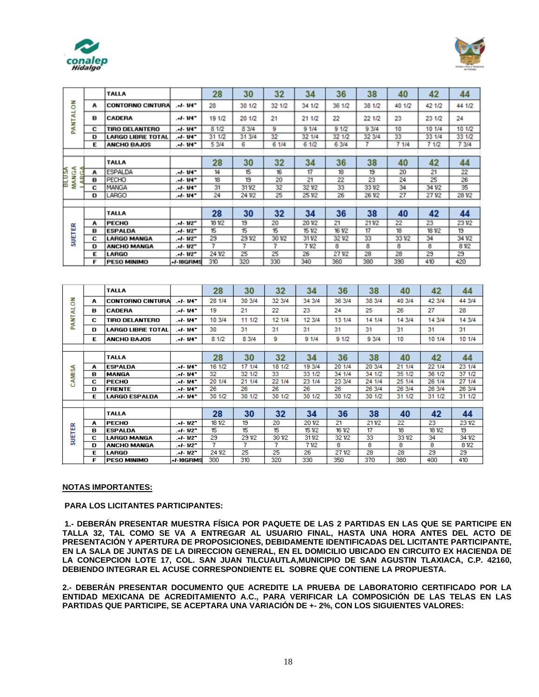



|                             |   | <b>TALLA</b>             |            | 28     | 30     | 32     | 34     | 36     | 38     | 40     | 42     | 44     |
|-----------------------------|---|--------------------------|------------|--------|--------|--------|--------|--------|--------|--------|--------|--------|
|                             | А | <b>CONTORNO CINTURA</b>  | . d- 114°  | 28     | 30 1/2 | 32 1/2 | 34 1/2 | 36 1/2 | 38 1/2 | 40 1/2 | 42 1/2 | 44 1/2 |
| PANTALON                    | в | <b>CADERA</b>            | .el- 114°  | 19 1/2 | 20 1/2 | 21     | 21 1/2 | 22     | 22 1/2 | 23     | 23 1/2 | 24     |
|                             | с | <b>TIRO DELANTERO</b>    | .-1- 114°  | 81/2   | 8 3/4  | 9      | 91/4   | 91/2   | 9 3/4  | 10     | 10 1/4 | 10 1/2 |
|                             | D | <b>LARGO LIBRE TOTAL</b> | .+1- 114"  | 31 1/2 | 31 3/4 | 32     | 32 1/4 | 32 1/2 | 32 3/4 | 33     | 33 1/4 | 33 1/2 |
|                             | Е | <b>ANCHO BAJOS</b>       | .el- 114°  | 5 3/4  | 6      | 6 1/4  | 6 1/2  | 6 3/4  |        | 7 1/4  | 7 1/2  | 7 3/4  |
|                             |   |                          |            |        |        |        |        |        |        |        |        |        |
|                             |   | <b>TALLA</b>             |            | 28     | 30     | 32     | 34     | 36     | 38     | 40     | 42     | 44     |
| ⋖<br><b>BLUSA</b><br>g<br>œ | А | ESPALDA                  | $-1.14$    | 14     | 15     | 16     | 17     | 18     | 19     | 20     | 21     | 22     |
|                             | в | PECHO                    | .-I- 114°  | 18     | 19     | 20     | 21     | 22     | 23     | 24     | 25     | 26     |
| ≸                           | с | MANGA                    | -14- 114   | 31     | 311/2  | 32     | 321/2  | 33     | 331/2  | 34     | 34 1/2 | 35     |
|                             | D | LARGO                    | $-1 - 114$ | 24     | 241/2  | 25     | 251/2  | 26     | 261/2  | 27     | 271/2  | 281/2  |
|                             |   |                          |            |        |        |        |        |        |        |        |        |        |
|                             |   | <b>TALLA</b>             |            | 28     | 30     | 32     | 34     | 36     | 38     | 40     | 42     | 44     |
|                             | А | <b>PECHO</b>             | -112-      | 18 1/2 | 19     | 20     | 201/2  | 21     | 211/2  | 22     | 23     | 231/2  |
|                             | в | <b>ESPALDA</b>           | $-1.112$   | 15     | 15     | 15     | 15 1/2 | 16 1/2 | 17     | 18     | 18 1/2 | 19     |
| SUETER                      | С | <b>LARGO MANGA</b>       | .+I- 1I2"  | 29     | 291/2  | 301/2  | 311/2  | 321/2  | 33     | 331/2  | 34     | 341/2  |
|                             | D | <b>ANCHO MANGA</b>       | -12- 12-   | 7      | 7      | 7      | 71/2   | 8      | 8      | 8      | 8      | 81/2   |
|                             | Ε | <b>LARGO</b>             | .-I- 112"  | 24 1/2 | 25     | 25     | 26     | 271/2  | 28     | 28     | 29     | 29     |
|                             | Е | <b>PESO MINIMO</b>       | +/-10GRMS  | 310    | 320    | 330    | 340    | 360    | 380    | 390    | 410    | 420    |

|               |   | <b>TALLA</b>             |               | 28     | 30     | 32     | 34     | 36     | 38     | 40     | 42     | 44     |
|---------------|---|--------------------------|---------------|--------|--------|--------|--------|--------|--------|--------|--------|--------|
| 중             | A | <b>CONTORNO CINTURAL</b> | $-1 - 114$    | 28 1/4 | 30 3/4 | 32 3/4 | 34 3/4 | 36 3/4 | 38 3/4 | 40 3/4 | 42 3/4 | 44 3/4 |
|               | в | <b>CADERA</b>            | $-1 - 114$    | 19     | 21     | 22     | 23     | 24     | 25     | 26     | 27     | 28     |
| PANTAL        | c | <b>TIRO DELANTERO</b>    | $-1 - 114$    | 10 3/4 | 11 1/2 | 12 1/4 | 12 3/4 | 13 1/4 | 14 1/4 | 14 3/4 | 14 3/4 | 14 3/4 |
|               | D | <b>LARGO LIBRE TOTAL</b> | $. +1 - 1147$ | 30     | 31     | 31     | 31     | 31     | 31     | 31     | 31     | 31     |
|               | Е | <b>ANCHO BAJOS</b>       | . J. 1147     | 8 1/2  | 8 3/4  | 9      | 91/4   | 91/2   | 9 3/4  | 10     | 10 1/4 | 10 1/4 |
|               |   |                          |               |        |        |        |        |        |        |        |        |        |
|               |   | <b>TALLA</b>             |               | 28     | 30     | 32     | 34     | 36     | 38     | 40     | 42     | 44     |
|               | A | <b>ESPALDA</b>           | $-1 - 114$    | 16 1/2 | 17 1/4 | 18 1/2 | 19 3/4 | 20 1/4 | 20 3/4 | 21 1/4 | 22 1/4 | 23 1/4 |
| AMISA<br>Ō    | в | <b>MANGA</b>             | $-1 - 114$    | 32     | 32 1/2 | 33     | 33 1/2 | 34 1/4 | 34 1/2 | 35 1/2 | 36 1/2 | 37 1/2 |
|               | с | <b>PECHO</b>             | $-1 - 114$    | 20 1/4 | 21 1/4 | 22 1/4 | 23 1/4 | 23 3/4 | 24 1/4 | 25 1/4 | 26 1/4 | 27 1/4 |
|               | D | <b>FRENTE</b>            | $-1 - 114$    | 26     | 26     | 26     | 26     | 26     | 26 3/4 | 26 3/4 | 26 3/4 | 26 3/4 |
|               | E | <b>LARGO ESPALDA</b>     | . J. 1147     | 30 1/2 | 30 1/2 | 30 1/2 | 30 1/2 | 30 1/2 | 30 1/2 | 31 1/2 | 31 1/2 | 31 1/2 |
|               |   |                          |               |        |        |        |        |        |        |        |        |        |
|               |   | <b>TALLA</b>             |               | 28     | 30     | 32     | 34     | 36     | 38     | 40     | 42     | 44     |
|               | А | <b>PECHO</b>             | $-1 - 112$    | 18 1/2 | 19     | 20     | 201/2  | 21     | 211/2  | 22     | 23     | 231/2  |
| <b>SUETER</b> | в | <b>ESPALDA</b>           | $-1 - 112$    | 15     | 15     | 15     | 151/2  | 16 1/2 | 17     | 18     | 18 1/2 | 19     |
|               | с | <b>LARGO MANGA</b>       | -1-112"       | 29     | 291/2  | 301/2  | 311/2  | 32 1/2 | 33     | 33 1/2 | 34     | 34 1/2 |
|               | D | <b>ANCHO MANGA</b>       | -1-112"       | 7      | 7      | 7      | 71/2   | 8.     | 8      | 8      | 8      | 81/2   |
|               | Е | LARGO                    | $.4 - 112$    | 24 1/2 | 25     | 25     | 26     | 271/2  | 28     | 28     | 29     | 29     |
|               | F | <b>PESO MINIMO</b>       | +/-10GRMS     | 300    | 310    | 320    | 330    | 350    | 370    | 380    | 400    | 410    |

### **NOTAS IMPORTANTES:**

#### **PARA LOS LICITANTES PARTICIPANTES:**

**1.- DEBERÁN PRESENTAR MUESTRA FÍSICA POR PAQUETE DE LAS 2 PARTIDAS EN LAS QUE SE PARTICIPE EN TALLA 32, TAL COMO SE VA A ENTREGAR AL USUARIO FINAL, HASTA UNA HORA ANTES DEL ACTO DE PRESENTACIÓN Y APERTURA DE PROPOSICIONES, DEBIDAMENTE IDENTIFICADAS DEL LICITANTE PARTICIPANTE, EN LA SALA DE JUNTAS DE LA DIRECCION GENERAL, EN EL DOMICILIO UBICADO EN CIRCUITO EX HACIENDA DE LA CONCEPCION LOTE 17, COL. SAN JUAN TILCUAUTLA,MUNICIPIO DE SAN AGUSTIN TLAXIACA, C.P. 42160, DEBIENDO INTEGRAR EL ACUSE CORRESPONDIENTE EL SOBRE QUE CONTIENE LA PROPUESTA.** 

**2.- DEBERÁN PRESENTAR DOCUMENTO QUE ACREDITE LA PRUEBA DE LABORATORIO CERTIFICADO POR LA ENTIDAD MEXICANA DE ACREDITAMIENTO A.C., PARA VERIFICAR LA COMPOSICIÓN DE LAS TELAS EN LAS PARTIDAS QUE PARTICIPE, SE ACEPTARA UNA VARIACIÓN DE +- 2%, CON LOS SIGUIENTES VALORES:**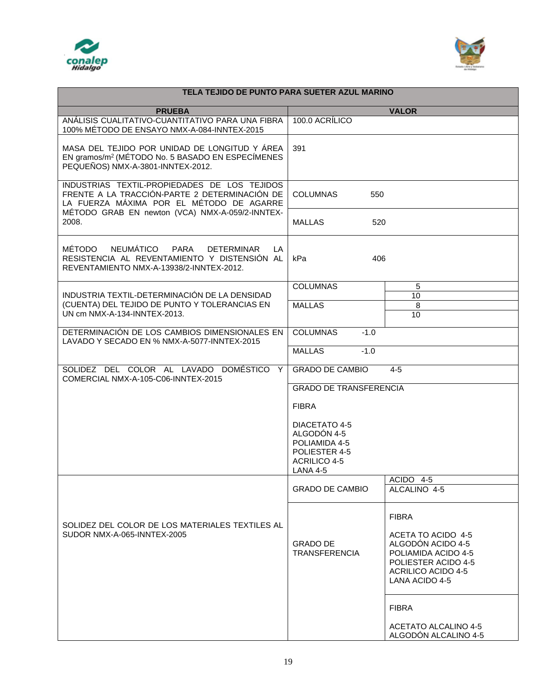



| TELA TEJIDO DE PUNTO PARA SUETER AZUL MARINO                                                                                                       |                                                                                                          |                                                                                                                                               |  |  |  |
|----------------------------------------------------------------------------------------------------------------------------------------------------|----------------------------------------------------------------------------------------------------------|-----------------------------------------------------------------------------------------------------------------------------------------------|--|--|--|
| <b>PRUEBA</b>                                                                                                                                      |                                                                                                          | <b>VALOR</b>                                                                                                                                  |  |  |  |
| ANÁLISIS CUALITATIVO-CUANTITATIVO PARA UNA FIBRA<br>100% MÉTODO DE ENSAYO NMX-A-084-INNTEX-2015                                                    | 100.0 ACRÍLICO                                                                                           |                                                                                                                                               |  |  |  |
| MASA DEL TEJIDO POR UNIDAD DE LONGITUD Y ÁREA<br>EN gramos/m <sup>2</sup> (MÉTODO No. 5 BASADO EN ESPECÍMENES<br>PEQUEÑOS) NMX-A-3801-INNTEX-2012. | 391                                                                                                      |                                                                                                                                               |  |  |  |
| INDUSTRIAS TEXTIL-PROPIEDADES DE LOS TEJIDOS<br>FRENTE A LA TRACCIÓN-PARTE 2 DETERMINACIÓN DE<br>LA FUERZA MÁXIMA POR EL MÉTODO DE AGARRE          | <b>COLUMNAS</b><br>550                                                                                   |                                                                                                                                               |  |  |  |
| MÉTODO GRAB EN newton (VCA) NMX-A-059/2-INNTEX-<br>2008.                                                                                           | <b>MALLAS</b><br>520                                                                                     |                                                                                                                                               |  |  |  |
| MÉTODO<br>NEUMÁTICO<br>PARA<br><b>DETERMINAR</b><br>LA<br>RESISTENCIA AL REVENTAMIENTO Y DISTENSIÓN AL<br>REVENTAMIENTO NMX-A-13938/2-INNTEX-2012. | 406<br>kPa                                                                                               |                                                                                                                                               |  |  |  |
|                                                                                                                                                    | <b>COLUMNAS</b>                                                                                          | 5                                                                                                                                             |  |  |  |
| INDUSTRIA TEXTIL-DETERMINACIÓN DE LA DENSIDAD<br>(CUENTA) DEL TEJIDO DE PUNTO Y TOLERANCIAS EN                                                     | <b>MALLAS</b>                                                                                            | 10<br>8                                                                                                                                       |  |  |  |
| UN cm NMX-A-134-INNTEX-2013.                                                                                                                       |                                                                                                          | 10                                                                                                                                            |  |  |  |
| DETERMINACIÓN DE LOS CAMBIOS DIMENSIONALES EN<br>LAVADO Y SECADO EN % NMX-A-5077-INNTEX-2015                                                       | <b>COLUMNAS</b><br>$-1.0$                                                                                |                                                                                                                                               |  |  |  |
|                                                                                                                                                    | <b>MALLAS</b><br>$-1.0$                                                                                  |                                                                                                                                               |  |  |  |
| SOLIDEZ DEL COLOR AL LAVADO DOMÉSTICO Y<br>COMERCIAL NMX-A-105-C06-INNTEX-2015                                                                     | <b>GRADO DE CAMBIO</b><br>$4 - 5$                                                                        |                                                                                                                                               |  |  |  |
|                                                                                                                                                    | <b>GRADO DE TRANSFERENCIA</b>                                                                            |                                                                                                                                               |  |  |  |
|                                                                                                                                                    | <b>FIBRA</b>                                                                                             |                                                                                                                                               |  |  |  |
|                                                                                                                                                    | DIACETATO 4-5<br>ALGODÓN 4-5<br>POLIAMIDA 4-5<br>POLIESTER 4-5<br><b>ACRILICO 4-5</b><br><b>LANA 4-5</b> |                                                                                                                                               |  |  |  |
|                                                                                                                                                    | <b>GRADO DE CAMBIO</b>                                                                                   | ACIDO 4-5<br>ALCALINO 4-5                                                                                                                     |  |  |  |
|                                                                                                                                                    |                                                                                                          |                                                                                                                                               |  |  |  |
| SOLIDEZ DEL COLOR DE LOS MATERIALES TEXTILES AL<br>SUDOR NMX-A-065-INNTEX-2005                                                                     | <b>GRADO DE</b><br><b>TRANSFERENCIA</b>                                                                  | <b>FIBRA</b><br>ACETA TO ACIDO 4-5<br>ALGODÓN ACIDO 4-5<br>POLIAMIDA ACIDO 4-5<br>POLIESTER ACIDO 4-5<br>ACRILICO ACIDO 4-5<br>LANA ACIDO 4-5 |  |  |  |
|                                                                                                                                                    |                                                                                                          | <b>FIBRA</b><br><b>ACETATO ALCALINO 4-5</b><br>ALGODÓN ALCALINO 4-5                                                                           |  |  |  |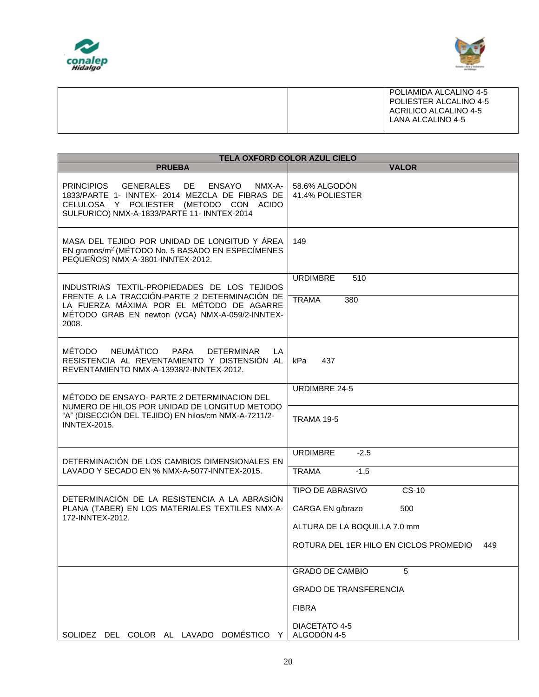



|  | POLIAMIDA ALCALINO 4-5<br>POLIESTER ALCALINO 4-5<br>ACRILICO ALCALINO 4-5<br>LANA ALCALINO 4-5 |
|--|------------------------------------------------------------------------------------------------|
|--|------------------------------------------------------------------------------------------------|

| <b>TELA OXFORD COLOR AZUL CIELO</b>                                                                                                                                                                                |                                               |  |  |  |
|--------------------------------------------------------------------------------------------------------------------------------------------------------------------------------------------------------------------|-----------------------------------------------|--|--|--|
| <b>PRUEBA</b>                                                                                                                                                                                                      | <b>VALOR</b>                                  |  |  |  |
| <b>PRINCIPIOS</b><br><b>GENERALES</b><br>DE.<br><b>ENSAYO</b><br>NMX-A-<br>1833/PARTE 1- INNTEX- 2014 MEZCLA DE FIBRAS DE<br>CELULOSA Y POLIESTER (METODO CON ACIDO<br>SULFURICO) NMX-A-1833/PARTE 11- INNTEX-2014 | 58.6% ALGODÓN<br>41.4% POLIESTER              |  |  |  |
| MASA DEL TEJIDO POR UNIDAD DE LONGITUD Y ÁREA<br>EN gramos/m <sup>2</sup> (MÉTODO No. 5 BASADO EN ESPECÍMENES<br>PEQUEÑOS) NMX-A-3801-INNTEX-2012.                                                                 | 149                                           |  |  |  |
| INDUSTRIAS TEXTIL-PROPIEDADES DE LOS TEJIDOS                                                                                                                                                                       | <b>URDIMBRE</b><br>510                        |  |  |  |
| FRENTE A LA TRACCIÓN-PARTE 2 DETERMINACIÓN DE<br>LA FUERZA MÁXIMA POR EL MÉTODO DE AGARRE<br>MÉTODO GRAB EN newton (VCA) NMX-A-059/2-INNTEX-<br>2008.                                                              | <b>TRAMA</b><br>380                           |  |  |  |
| <b>NEUMÁTICO</b><br>MÉTODO<br>PARA<br><b>DETERMINAR</b><br>LA.<br>RESISTENCIA AL REVENTAMIENTO Y DISTENSIÓN AL<br>REVENTAMIENTO NMX-A-13938/2-INNTEX-2012.                                                         | kPa<br>437                                    |  |  |  |
| MÉTODO DE ENSAYO- PARTE 2 DETERMINACION DEL                                                                                                                                                                        | URDIMBRE 24-5                                 |  |  |  |
| NUMERO DE HILOS POR UNIDAD DE LONGITUD METODO<br>"A" (DISECCIÓN DEL TEJIDO) EN hilos/cm NMX-A-7211/2-<br><b>INNTEX-2015.</b>                                                                                       | <b>TRAMA 19-5</b>                             |  |  |  |
| DETERMINACIÓN DE LOS CAMBIOS DIMENSIONALES EN                                                                                                                                                                      | <b>URDIMBRE</b><br>$-2.5$                     |  |  |  |
| LAVADO Y SECADO EN % NMX-A-5077-INNTEX-2015.                                                                                                                                                                       | $-1.5$<br><b>TRAMA</b>                        |  |  |  |
|                                                                                                                                                                                                                    | <b>TIPO DE ABRASIVO</b><br>$CS-10$            |  |  |  |
| DETERMINACIÓN DE LA RESISTENCIA A LA ABRASIÓN<br>PLANA (TABER) EN LOS MATERIALES TEXTILES NMX-A-<br>172-INNTEX-2012.                                                                                               | CARGA EN g/brazo<br>500                       |  |  |  |
|                                                                                                                                                                                                                    | ALTURA DE LA BOQUILLA 7.0 mm                  |  |  |  |
|                                                                                                                                                                                                                    | ROTURA DEL 1ER HILO EN CICLOS PROMEDIO<br>449 |  |  |  |
|                                                                                                                                                                                                                    | <b>GRADO DE CAMBIO</b><br>5                   |  |  |  |
|                                                                                                                                                                                                                    | <b>GRADO DE TRANSFERENCIA</b>                 |  |  |  |
|                                                                                                                                                                                                                    | <b>FIBRA</b>                                  |  |  |  |
| SOLIDEZ DEL COLOR AL LAVADO DOMÉSTICO<br>Y                                                                                                                                                                         | DIACETATO 4-5<br>ALGODÓN 4-5                  |  |  |  |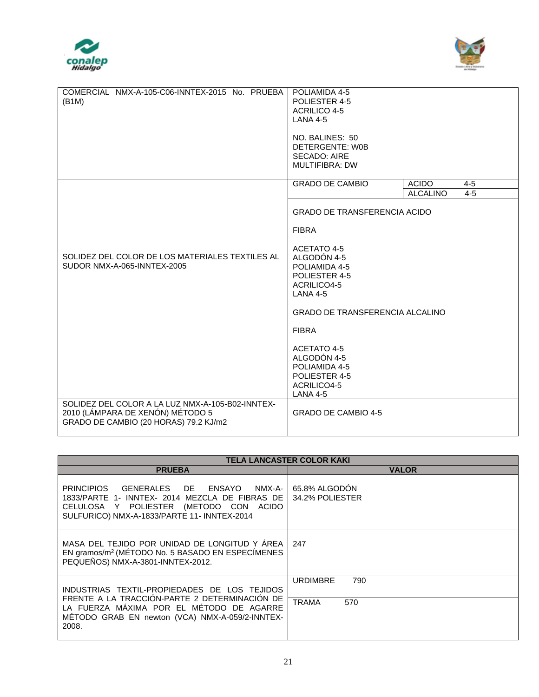



| COMERCIAL NMX-A-105-C06-INNTEX-2015 No. PRUEBA   | POLIAMIDA 4-5                          |                            |  |  |
|--------------------------------------------------|----------------------------------------|----------------------------|--|--|
| (B1M)                                            | POLIESTER 4-5                          |                            |  |  |
|                                                  | <b>ACRILICO 4-5</b>                    |                            |  |  |
|                                                  | <b>LANA 4-5</b>                        |                            |  |  |
|                                                  |                                        |                            |  |  |
|                                                  | NO. BALINES: 50                        |                            |  |  |
|                                                  | DETERGENTE: W0B                        |                            |  |  |
|                                                  | <b>SECADO: AIRE</b>                    |                            |  |  |
|                                                  |                                        |                            |  |  |
|                                                  | <b>MULTIFIBRA: DW</b>                  |                            |  |  |
|                                                  | <b>GRADO DE CAMBIO</b><br><b>ACIDO</b> | $4 - 5$                    |  |  |
|                                                  |                                        | <b>ALCALINO</b><br>$4 - 5$ |  |  |
|                                                  |                                        |                            |  |  |
|                                                  | <b>GRADO DE TRANSFERENCIA ACIDO</b>    |                            |  |  |
|                                                  | <b>FIBRA</b>                           |                            |  |  |
|                                                  |                                        |                            |  |  |
|                                                  | ACETATO 4-5                            |                            |  |  |
| SOLIDEZ DEL COLOR DE LOS MATERIALES TEXTILES AL  | ALGODÓN 4-5                            |                            |  |  |
| SUDOR NMX-A-065-INNTEX-2005                      | POLIAMIDA 4-5                          |                            |  |  |
|                                                  | POLIESTER 4-5                          |                            |  |  |
|                                                  | ACRILICO4-5                            |                            |  |  |
|                                                  | <b>LANA 4-5</b>                        |                            |  |  |
|                                                  |                                        |                            |  |  |
|                                                  | <b>GRADO DE TRANSFERENCIA ALCALINO</b> |                            |  |  |
|                                                  | <b>FIBRA</b>                           |                            |  |  |
|                                                  | ACETATO 4-5                            |                            |  |  |
|                                                  |                                        |                            |  |  |
|                                                  | ALGODÓN 4-5                            |                            |  |  |
|                                                  | POLIAMIDA 4-5                          |                            |  |  |
|                                                  | POLIESTER 4-5                          |                            |  |  |
|                                                  | ACRILICO4-5                            |                            |  |  |
|                                                  | <b>LANA 4-5</b>                        |                            |  |  |
| SOLIDEZ DEL COLOR A LA LUZ NMX-A-105-B02-INNTEX- |                                        |                            |  |  |
| 2010 (LÁMPARA DE XENÓN) MÉTODO 5                 | <b>GRADO DE CAMBIO 4-5</b>             |                            |  |  |
| GRADO DE CAMBIO (20 HORAS) 79.2 KJ/m2            |                                        |                            |  |  |
|                                                  |                                        |                            |  |  |
|                                                  |                                        |                            |  |  |

| <b>TELA LANCASTER COLOR KAKI</b>                                                                                                                                                    |                                               |  |  |  |
|-------------------------------------------------------------------------------------------------------------------------------------------------------------------------------------|-----------------------------------------------|--|--|--|
| <b>PRUEBA</b>                                                                                                                                                                       | <b>VALOR</b>                                  |  |  |  |
| PRINCIPIOS GENERALES DE ENSAYO<br>NMX-A-<br>1833/PARTE 1- INNTEX- 2014 MEZCLA DE FIBRAS DE<br>CELULOSA Y POLIESTER (METODO CON ACIDO<br>SULFURICO) NMX-A-1833/PARTE 11- INNTEX-2014 | 65.8% ALGODON<br>34.2% POLIESTER              |  |  |  |
| MASA DEL TEJIDO POR UNIDAD DE LONGITUD Y ÁREA<br>EN gramos/m <sup>2</sup> (MÉTODO No. 5 BASADO EN ESPECÍMENES<br>PEQUEÑOS) NMX-A-3801-INNTEX-2012.                                  | 247                                           |  |  |  |
| INDUSTRIAS TEXTIL-PROPIEDADES DE LOS TEJIDOS<br>FRENTE A LA TRACCIÓN-PARTE 2 DETERMINACIÓN DE<br>LA FUERZA MÁXIMA POR EL MÉTODO DE AGARRE                                           | <b>URDIMBRE</b><br>790<br><b>TRAMA</b><br>570 |  |  |  |
| METODO GRAB EN newton (VCA) NMX-A-059/2-INNTEX-<br>2008.                                                                                                                            |                                               |  |  |  |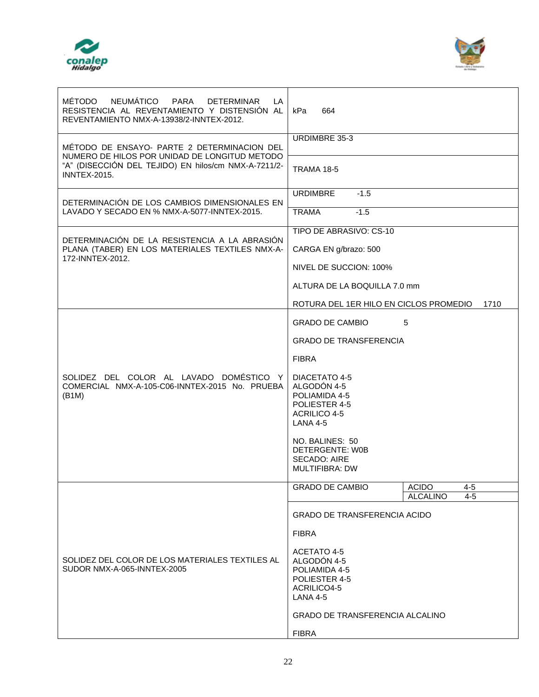| NEUMÁTICO<br><b>MÉTODO</b><br><b>PARA</b><br><b>DETERMINAR</b><br>LA.<br>RESISTENCIA AL REVENTAMIENTO Y DISTENSIÓN AL<br>REVENTAMIENTO NMX-A-13938/2-INNTEX-2012. | kPa<br>664                                                                                                      |  |  |
|-------------------------------------------------------------------------------------------------------------------------------------------------------------------|-----------------------------------------------------------------------------------------------------------------|--|--|
| MÉTODO DE ENSAYO- PARTE 2 DETERMINACION DEL                                                                                                                       | URDIMBRE 35-3                                                                                                   |  |  |
| NUMERO DE HILOS POR UNIDAD DE LONGITUD METODO<br>"A" (DISECCIÓN DEL TEJIDO) EN hilos/cm NMX-A-7211/2-<br><b>INNTEX-2015.</b>                                      | <b>TRAMA 18-5</b>                                                                                               |  |  |
| DETERMINACIÓN DE LOS CAMBIOS DIMENSIONALES EN<br>LAVADO Y SECADO EN % NMX-A-5077-INNTEX-2015.                                                                     | <b>URDIMBRE</b><br>$-1.5$                                                                                       |  |  |
|                                                                                                                                                                   | $-1.5$<br><b>TRAMA</b><br>TIPO DE ABRASIVO: CS-10                                                               |  |  |
| DETERMINACIÓN DE LA RESISTENCIA A LA ABRASIÓN<br>PLANA (TABER) EN LOS MATERIALES TEXTILES NMX-A-                                                                  | CARGA EN g/brazo: 500                                                                                           |  |  |
| 172-INNTEX-2012.                                                                                                                                                  | NIVEL DE SUCCION: 100%                                                                                          |  |  |
|                                                                                                                                                                   | ALTURA DE LA BOQUILLA 7.0 mm                                                                                    |  |  |
|                                                                                                                                                                   | ROTURA DEL 1ER HILO EN CICLOS PROMEDIO<br>1710                                                                  |  |  |
|                                                                                                                                                                   | <b>GRADO DE CAMBIO</b><br>5                                                                                     |  |  |
|                                                                                                                                                                   | <b>GRADO DE TRANSFERENCIA</b>                                                                                   |  |  |
|                                                                                                                                                                   | <b>FIBRA</b>                                                                                                    |  |  |
| SOLIDEZ DEL COLOR AL LAVADO DOMÉSTICO Y<br>COMERCIAL NMX-A-105-C06-INNTEX-2015 No. PRUEBA<br>(B1M)                                                                | <b>DIACETATO 4-5</b><br>ALGODÓN 4-5<br>POLIAMIDA 4-5<br>POLIESTER 4-5<br><b>ACRILICO 4-5</b><br><b>LANA 4-5</b> |  |  |
|                                                                                                                                                                   | NO. BALINES: 50<br>DETERGENTE: W0B<br><b>SECADO: AIRE</b><br><b>MULTIFIBRA: DW</b>                              |  |  |
|                                                                                                                                                                   | <b>ACIDO</b><br><b>GRADO DE CAMBIO</b><br>4-5                                                                   |  |  |
|                                                                                                                                                                   | <b>ALCALINO</b><br>4-5<br><b>GRADO DE TRANSFERENCIA ACIDO</b>                                                   |  |  |
|                                                                                                                                                                   | <b>FIBRA</b>                                                                                                    |  |  |
| SOLIDEZ DEL COLOR DE LOS MATERIALES TEXTILES AL<br>SUDOR NMX-A-065-INNTEX-2005                                                                                    | ACETATO 4-5<br>ALGODÓN 4-5<br>POLIAMIDA 4-5<br>POLIESTER 4-5<br>ACRILICO4-5<br>LANA 4-5                         |  |  |
|                                                                                                                                                                   | <b>GRADO DE TRANSFERENCIA ALCALINO</b>                                                                          |  |  |
|                                                                                                                                                                   | <b>FIBRA</b>                                                                                                    |  |  |

Τ



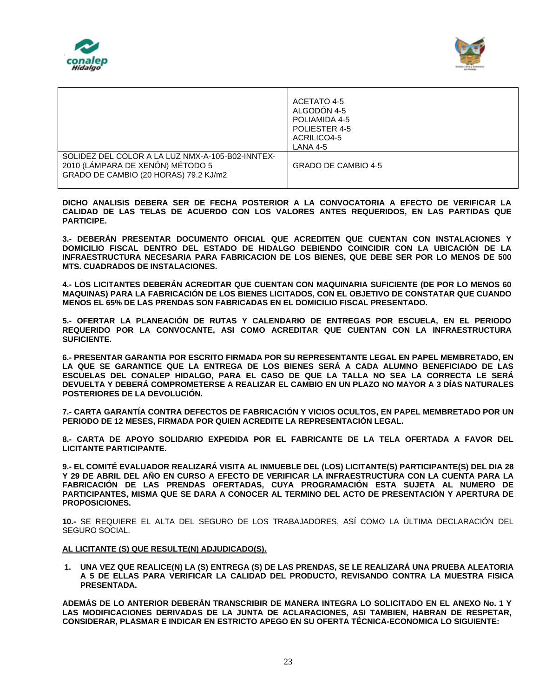



|                                                                                                                               | ACETATO 4-5<br>ALGODÓN 4-5<br>POLIAMIDA 4-5<br>POLIESTER 4-5<br>ACRILICO4-5<br>LANA 4-5 |
|-------------------------------------------------------------------------------------------------------------------------------|-----------------------------------------------------------------------------------------|
| SOLIDEZ DEL COLOR A LA LUZ NMX-A-105-B02-INNTEX-<br>2010 (LAMPARA DE XENON) MÉTODO 5<br>GRADO DE CAMBIO (20 HORAS) 79.2 KJ/m2 | GRADO DE CAMBIO 4-5                                                                     |

**DICHO ANALISIS DEBERA SER DE FECHA POSTERIOR A LA CONVOCATORIA A EFECTO DE VERIFICAR LA CALIDAD DE LAS TELAS DE ACUERDO CON LOS VALORES ANTES REQUERIDOS, EN LAS PARTIDAS QUE PARTICIPE.** 

**3.- DEBERÁN PRESENTAR DOCUMENTO OFICIAL QUE ACREDITEN QUE CUENTAN CON INSTALACIONES Y DOMICILIO FISCAL DENTRO DEL ESTADO DE HIDALGO DEBIENDO COINCIDIR CON LA UBICACIÓN DE LA INFRAESTRUCTURA NECESARIA PARA FABRICACION DE LOS BIENES, QUE DEBE SER POR LO MENOS DE 500 MTS. CUADRADOS DE INSTALACIONES.** 

**4.- LOS LICITANTES DEBERÁN ACREDITAR QUE CUENTAN CON MAQUINARIA SUFICIENTE (DE POR LO MENOS 60 MAQUINAS) PARA LA FABRICACIÓN DE LOS BIENES LICITADOS, CON EL OBJETIVO DE CONSTATAR QUE CUANDO MENOS EL 65% DE LAS PRENDAS SON FABRICADAS EN EL DOMICILIO FISCAL PRESENTADO.** 

**5.- OFERTAR LA PLANEACIÓN DE RUTAS Y CALENDARIO DE ENTREGAS POR ESCUELA, EN EL PERIODO REQUERIDO POR LA CONVOCANTE, ASI COMO ACREDITAR QUE CUENTAN CON LA INFRAESTRUCTURA SUFICIENTE.**

**6.- PRESENTAR GARANTIA POR ESCRITO FIRMADA POR SU REPRESENTANTE LEGAL EN PAPEL MEMBRETADO, EN LA QUE SE GARANTICE QUE LA ENTREGA DE LOS BIENES SERÁ A CADA ALUMNO BENEFICIADO DE LAS ESCUELAS DEL CONALEP HIDALGO, PARA EL CASO DE QUE LA TALLA NO SEA LA CORRECTA LE SERÁ DEVUELTA Y DEBERÁ COMPROMETERSE A REALIZAR EL CAMBIO EN UN PLAZO NO MAYOR A 3 DÍAS NATURALES POSTERIORES DE LA DEVOLUCIÓN.**

**7.- CARTA GARANTÍA CONTRA DEFECTOS DE FABRICACIÓN Y VICIOS OCULTOS, EN PAPEL MEMBRETADO POR UN PERIODO DE 12 MESES, FIRMADA POR QUIEN ACREDITE LA REPRESENTACIÓN LEGAL.**

**8.- CARTA DE APOYO SOLIDARIO EXPEDIDA POR EL FABRICANTE DE LA TELA OFERTADA A FAVOR DEL LICITANTE PARTICIPANTE.**

**9.- EL COMITÉ EVALUADOR REALIZARÁ VISITA AL INMUEBLE DEL (LOS) LICITANTE(S) PARTICIPANTE(S) DEL DIA 28 Y 29 DE ABRIL DEL AÑO EN CURSO A EFECTO DE VERIFICAR LA INFRAESTRUCTURA CON LA CUENTA PARA LA FABRICACIÓN DE LAS PRENDAS OFERTADAS, CUYA PROGRAMACIÓN ESTA SUJETA AL NUMERO DE PARTICIPANTES, MISMA QUE SE DARA A CONOCER AL TERMINO DEL ACTO DE PRESENTACIÓN Y APERTURA DE PROPOSICIONES.** 

**10.-** SE REQUIERE EL ALTA DEL SEGURO DE LOS TRABAJADORES, ASÍ COMO LA ÚLTIMA DECLARACIÓN DEL SEGURO SOCIAL.

### **AL LICITANTE (S) QUE RESULTE(N) ADJUDICADO(S).**

**1. UNA VEZ QUE REALICE(N) LA (S) ENTREGA (S) DE LAS PRENDAS, SE LE REALIZARÁ UNA PRUEBA ALEATORIA A 5 DE ELLAS PARA VERIFICAR LA CALIDAD DEL PRODUCTO, REVISANDO CONTRA LA MUESTRA FISICA PRESENTADA.**

**ADEMÁS DE LO ANTERIOR DEBERÁN TRANSCRIBIR DE MANERA INTEGRA LO SOLICITADO EN EL ANEXO No. 1 Y LAS MODIFICACIONES DERIVADAS DE LA JUNTA DE ACLARACIONES, ASI TAMBIEN, HABRAN DE RESPETAR, CONSIDERAR, PLASMAR E INDICAR EN ESTRICTO APEGO EN SU OFERTA TÉCNICA-ECONOMICA LO SIGUIENTE:**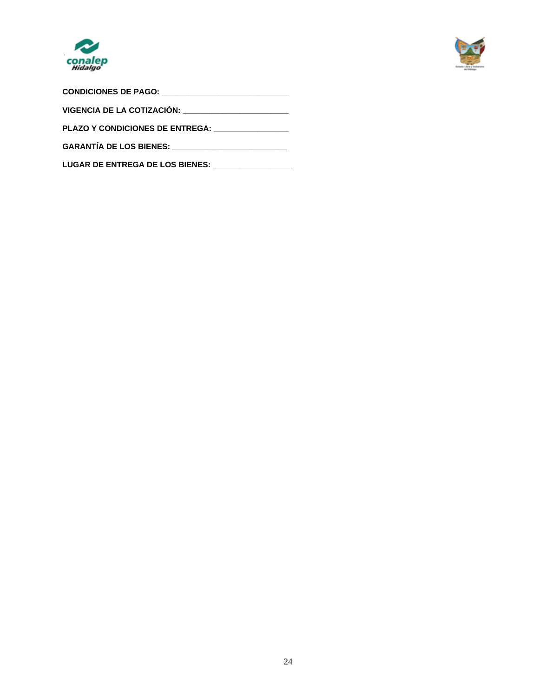



| CONDICIONES DE PAGO: _____________________________ |  |  |  |  |
|----------------------------------------------------|--|--|--|--|
|                                                    |  |  |  |  |
| <b>PLAZO Y CONDICIONES DE ENTREGA:</b>             |  |  |  |  |
|                                                    |  |  |  |  |
| LUGAR DE ENTREGA DE LOS BIENES: __________________ |  |  |  |  |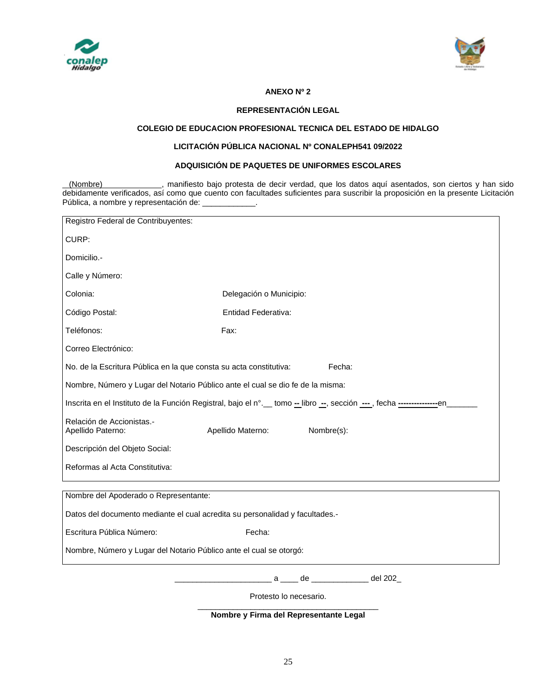



# **ANEXO Nº 2**

### **REPRESENTACIÓN LEGAL**

### **COLEGIO DE EDUCACION PROFESIONAL TECNICA DEL ESTADO DE HIDALGO**

# **LICITACIÓN PÚBLICA NACIONAL Nº CONALEPH541 09/2022**

## **ADQUISICIÓN DE PAQUETES DE UNIFORMES ESCOLARES**

(Nombre) , manifiesto bajo protesta de decir verdad, que los datos aquí asentados, son ciertos y han sido debidamente verificados, así como que cuento con facultades suficientes para suscribir la proposición en la presente Licitación Pública, a nombre y representación de: \_

| Registro Federal de Contribuyentes:                                            |                                                                                                                                         |  |  |  |  |
|--------------------------------------------------------------------------------|-----------------------------------------------------------------------------------------------------------------------------------------|--|--|--|--|
| CURP:                                                                          |                                                                                                                                         |  |  |  |  |
| Domicilio.-                                                                    |                                                                                                                                         |  |  |  |  |
| Calle y Número:                                                                |                                                                                                                                         |  |  |  |  |
| Colonia:                                                                       | Delegación o Municipio:                                                                                                                 |  |  |  |  |
| Código Postal:                                                                 | Entidad Federativa:                                                                                                                     |  |  |  |  |
| Teléfonos:                                                                     | Fax:                                                                                                                                    |  |  |  |  |
| Correo Electrónico:                                                            |                                                                                                                                         |  |  |  |  |
| No. de la Escritura Pública en la que consta su acta constitutiva:             | Fecha:                                                                                                                                  |  |  |  |  |
| Nombre, Número y Lugar del Notario Público ante el cual se dio fe de la misma: |                                                                                                                                         |  |  |  |  |
|                                                                                | Inscrita en el Instituto de la Función Registral, bajo el n°. etomo - libro - , sección - - , fecha - - - - - - - - - - - - - - - - - - |  |  |  |  |
| Relación de Accionistas.-<br>Apellido Paterno:                                 | Nombre(s):<br>Apellido Materno:                                                                                                         |  |  |  |  |
| Descripción del Objeto Social:                                                 |                                                                                                                                         |  |  |  |  |
| Reformas al Acta Constitutiva:                                                 |                                                                                                                                         |  |  |  |  |
| Nombre del Apoderado o Representante:                                          |                                                                                                                                         |  |  |  |  |
| Datos del documento mediante el cual acredita su personalidad y facultades.-   |                                                                                                                                         |  |  |  |  |
| Escritura Pública Número:                                                      | Fecha:                                                                                                                                  |  |  |  |  |
| Nombre, Número y Lugar del Notario Público ante el cual se otorgó:             |                                                                                                                                         |  |  |  |  |
|                                                                                | a ____ de ____________ del 202_                                                                                                         |  |  |  |  |
| Protesto lo necesario.                                                         |                                                                                                                                         |  |  |  |  |

**Nombre y Firma del Representante Legal**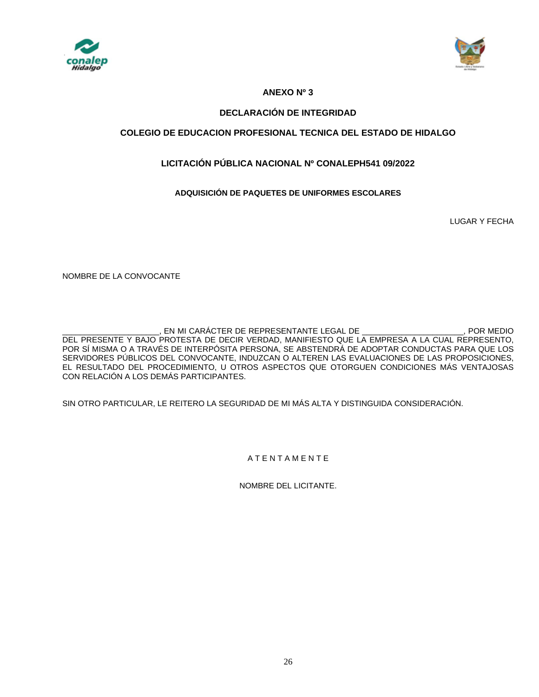



# **ANEXO Nº 3**

# **DECLARACIÓN DE INTEGRIDAD**

# **COLEGIO DE EDUCACION PROFESIONAL TECNICA DEL ESTADO DE HIDALGO**

# **LICITACIÓN PÚBLICA NACIONAL Nº CONALEPH541 09/2022**

# **ADQUISICIÓN DE PAQUETES DE UNIFORMES ESCOLARES**

LUGAR Y FECHA

NOMBRE DE LA CONVOCANTE

EN MI CARÁCTER DE REPRESENTANTE LEGAL DE \_\_\_\_\_\_\_\_\_\_\_\_\_\_\_\_\_\_\_\_\_\_\_, POR MEDIO DEL PRESENTE Y BAJO PROTESTA DE DECIR VERDAD, MANIFIESTO QUE LA EMPRESA A LA CUAL REPRESENTO, POR SÍ MISMA O A TRAVÉS DE INTERPÓSITA PERSONA, SE ABSTENDRÁ DE ADOPTAR CONDUCTAS PARA QUE LOS SERVIDORES PÚBLICOS DEL CONVOCANTE, INDUZCAN O ALTEREN LAS EVALUACIONES DE LAS PROPOSICIONES, EL RESULTADO DEL PROCEDIMIENTO, U OTROS ASPECTOS QUE OTORGUEN CONDICIONES MÁS VENTAJOSAS CON RELACIÓN A LOS DEMÁS PARTICIPANTES.

SIN OTRO PARTICULAR, LE REITERO LA SEGURIDAD DE MI MÁS ALTA Y DISTINGUIDA CONSIDERACIÓN.

# A T E N T A M E N T E

NOMBRE DEL LICITANTE.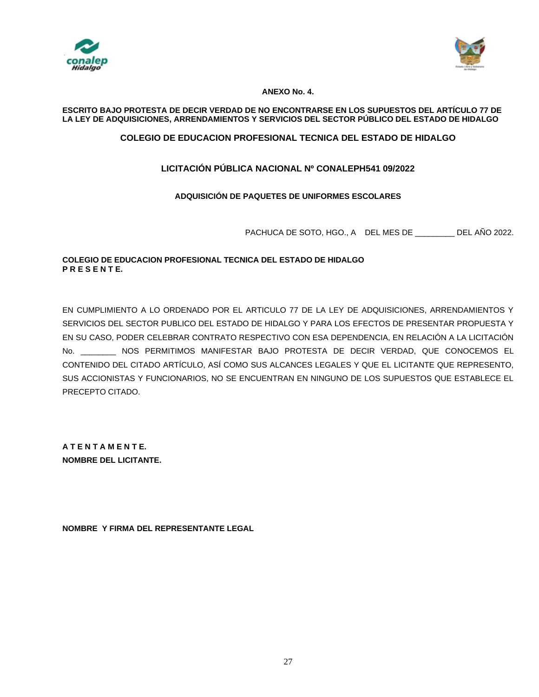



# **ANEXO No. 4.**

# **ESCRITO BAJO PROTESTA DE DECIR VERDAD DE NO ENCONTRARSE EN LOS SUPUESTOS DEL ARTÍCULO 77 DE LA LEY DE ADQUISICIONES, ARRENDAMIENTOS Y SERVICIOS DEL SECTOR PÚBLICO DEL ESTADO DE HIDALGO**

# **COLEGIO DE EDUCACION PROFESIONAL TECNICA DEL ESTADO DE HIDALGO**

# **LICITACIÓN PÚBLICA NACIONAL Nº CONALEPH541 09/2022**

# **ADQUISICIÓN DE PAQUETES DE UNIFORMES ESCOLARES**

PACHUCA DE SOTO, HGO., A DEL MES DE \_\_\_\_\_\_\_\_\_ DEL AÑO 2022.

# **COLEGIO DE EDUCACION PROFESIONAL TECNICA DEL ESTADO DE HIDALGO P R E S E N T E.**

EN CUMPLIMIENTO A LO ORDENADO POR EL ARTICULO 77 DE LA LEY DE ADQUISICIONES, ARRENDAMIENTOS Y SERVICIOS DEL SECTOR PUBLICO DEL ESTADO DE HIDALGO Y PARA LOS EFECTOS DE PRESENTAR PROPUESTA Y EN SU CASO, PODER CELEBRAR CONTRATO RESPECTIVO CON ESA DEPENDENCIA, EN RELACIÓN A LA LICITACIÓN No. \_\_\_\_\_\_\_\_ NOS PERMITIMOS MANIFESTAR BAJO PROTESTA DE DECIR VERDAD, QUE CONOCEMOS EL CONTENIDO DEL CITADO ARTÍCULO, ASÍ COMO SUS ALCANCES LEGALES Y QUE EL LICITANTE QUE REPRESENTO, SUS ACCIONISTAS Y FUNCIONARIOS, NO SE ENCUENTRAN EN NINGUNO DE LOS SUPUESTOS QUE ESTABLECE EL PRECEPTO CITADO.

**A T E N T A M E N T E. NOMBRE DEL LICITANTE.**

**NOMBRE Y FIRMA DEL REPRESENTANTE LEGAL**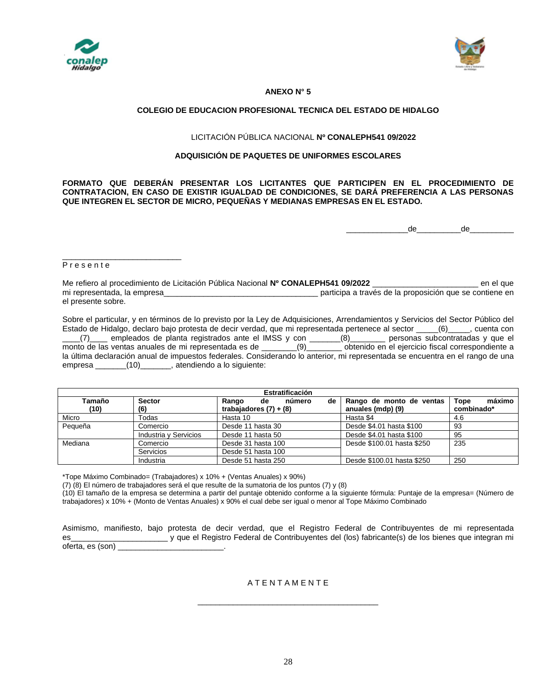



### **ANEXO N° 5**

### **COLEGIO DE EDUCACION PROFESIONAL TECNICA DEL ESTADO DE HIDALGO**

### LICITACIÓN PÚBLICA NACIONAL **Nº CONALEPH541 09/2022**

### **ADQUISICIÓN DE PAQUETES DE UNIFORMES ESCOLARES**

#### **FORMATO QUE DEBERÁN PRESENTAR LOS LICITANTES QUE PARTICIPEN EN EL PROCEDIMIENTO DE CONTRATACION, EN CASO DE EXISTIR IGUALDAD DE CONDICIONES, SE DARÁ PREFERENCIA A LAS PERSONAS QUE INTEGREN EL SECTOR DE MICRO, PEQUEÑAS Y MEDIANAS EMPRESAS EN EL ESTADO.**

 $\overline{\text{de}}$ 

#### P r e s e n t e

\_\_\_\_\_\_\_\_\_\_\_\_\_\_\_\_\_\_\_\_\_\_\_\_\_\_\_

Me refiero al procedimiento de Licitación Pública Nacional **Nº CONALEPH541 09/2022** \_\_\_\_\_\_\_\_\_\_\_\_\_\_\_\_\_\_\_\_\_\_\_\_ en el que mi representada, la empresa\_\_\_\_\_\_\_\_\_\_\_\_\_\_\_\_\_\_\_\_\_\_\_\_\_\_\_\_\_\_\_\_\_\_\_ participa a través de la proposición que se contiene en el presente sobre.

Sobre el particular, y en términos de lo previsto por la Ley de Adquisiciones, Arrendamientos y Servicios del Sector Público del Estado de Hidalgo, declaro bajo protesta de decir verdad, que mi representada pertenece al sector \_\_\_\_\_(6)\_\_\_\_, cuenta con \_\_\_\_(7)\_\_\_\_ empleados de planta registrados ante el IMSS y con \_\_\_\_\_\_\_(8)\_\_\_\_\_\_\_\_ personas subcontratadas y que el monto de las ventas anuales de mi representada es de \_\_\_\_\_\_\_(9)\_\_\_\_\_\_\_ obtenido en el ejercicio fiscal correspondiente a la última declaración anual de impuestos federales. Considerando lo anterior, mi representada se encuentra en el rango de una empresa \_\_\_\_\_\_\_(10)\_\_\_\_\_\_\_, atendiendo a lo siguiente:

| Estratificación |                       |                                                         |                                               |                              |  |  |
|-----------------|-----------------------|---------------------------------------------------------|-----------------------------------------------|------------------------------|--|--|
| Tamaño<br>(10)  | <b>Sector</b><br>(6)  | número<br>Rango<br>de<br>de<br>trabajadores $(7) + (8)$ | Rango de monto de ventas<br>anuales (mdp) (9) | máximo<br>Tope<br>combinado* |  |  |
|                 |                       |                                                         |                                               |                              |  |  |
| Micro           | Todas                 | Hasta 10                                                | Hasta \$4                                     | 4.6                          |  |  |
| Pequeña         | Comercio              | Desde 11 hasta 30                                       | Desde \$4.01 hasta \$100                      | 93                           |  |  |
|                 | Industria y Servicios | Desde 11 hasta 50                                       | Desde \$4.01 hasta \$100                      | 95                           |  |  |
| Mediana         | Comercio              | Desde 31 hasta 100                                      | Desde \$100.01 hasta \$250                    | 235                          |  |  |
|                 | Servicios             | Desde 51 hasta 100                                      |                                               |                              |  |  |
|                 | Industria             | Desde 51 hasta 250                                      | Desde \$100.01 hasta \$250                    | 250                          |  |  |

\*Tope Máximo Combinado= (Trabajadores) x 10% + (Ventas Anuales) x 90%)

(7) (8) El número de trabajadores será el que resulte de la sumatoria de los puntos (7) y (8)

(10) El tamaño de la empresa se determina a partir del puntaje obtenido conforme a la siguiente fórmula: Puntaje de la empresa= (Número de trabajadores) x 10% + (Monto de Ventas Anuales) x 90% el cual debe ser igual o menor al Tope Máximo Combinado

Asimismo, manifiesto, bajo protesta de decir verdad, que el Registro Federal de Contribuyentes de mi representada es\_\_\_\_\_\_\_\_\_\_\_\_\_\_\_\_\_\_\_\_\_\_ y que el Registro Federal de Contribuyentes del (los) fabricante(s) de los bienes que integran mi oferta, es (son) \_\_\_\_\_\_\_\_\_\_\_\_\_\_\_\_\_\_\_\_\_\_\_\_.

# A T E N T A M E N T E

\_\_\_\_\_\_\_\_\_\_\_\_\_\_\_\_\_\_\_\_\_\_\_\_\_\_\_\_\_\_\_\_\_\_\_\_\_\_\_\_\_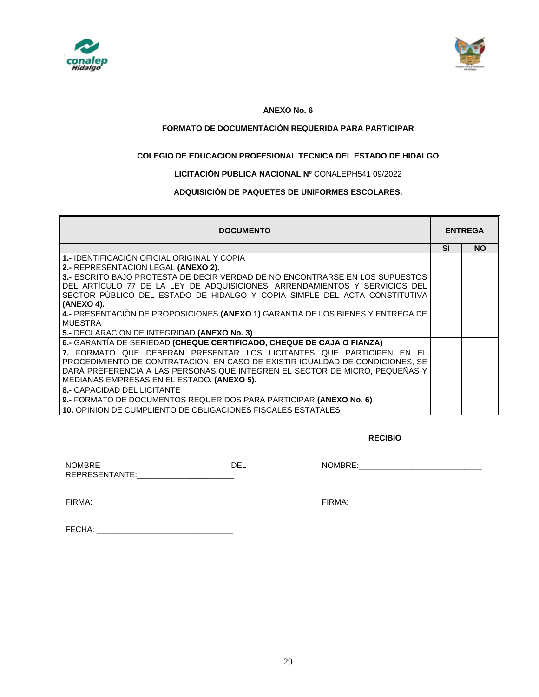



### **ANEXO No. 6**

# **FORMATO DE DOCUMENTACIÓN REQUERIDA PARA PARTICIPAR**

# **COLEGIO DE EDUCACION PROFESIONAL TECNICA DEL ESTADO DE HIDALGO**

# **LICITACIÓN PÚBLICA NACIONAL Nº** CONALEPH541 09/2022

# **ADQUISICIÓN DE PAQUETES DE UNIFORMES ESCOLARES.**

| <b>DOCUMENTO</b>                                                                |           | <b>ENTREGA</b> |  |
|---------------------------------------------------------------------------------|-----------|----------------|--|
|                                                                                 | <b>SI</b> | <b>NO</b>      |  |
| 1.- IDENTIFICACIÓN OFICIAL ORIGINAL Y COPIA                                     |           |                |  |
| 2.- REPRESENTACION LEGAL (ANEXO 2).                                             |           |                |  |
| 3.- ESCRITO BAJO PROTESTA DE DECIR VERDAD DE NO ENCONTRARSE EN LOS SUPUESTOS    |           |                |  |
| DEL ARTÍCULO 77 DE LA LEY DE ADQUISICIONES, ARRENDAMIENTOS Y SERVICIOS DEL      |           |                |  |
| SECTOR PÚBLICO DEL ESTADO DE HIDALGO Y COPIA SIMPLE DEL ACTA CONSTITUTIVA       |           |                |  |
| (ANEXO 4).                                                                      |           |                |  |
| 4.- PRESENTACIÓN DE PROPOSICIONES (ANEXO 1) GARANTIA DE LOS BIENES Y ENTREGA DE |           |                |  |
| <b>MUESTRA</b>                                                                  |           |                |  |
| 5.- DECLARACIÓN DE INTEGRIDAD (ANEXO No. 3)                                     |           |                |  |
| 6.- GARANTÍA DE SERIEDAD (CHEQUE CERTIFICADO, CHEQUE DE CAJA O FIANZA)          |           |                |  |
| 7. FORMATO QUE DEBERÁN PRESENTAR LOS LICITANTES QUE PARTICIPEN EN EL            |           |                |  |
| PROCEDIMIENTO DE CONTRATACION, EN CASO DE EXISTIR IGUALDAD DE CONDICIONES, SE   |           |                |  |
| DARÁ PREFERENCIA A LAS PERSONAS QUE INTEGREN EL SECTOR DE MICRO, PEQUEÑAS Y     |           |                |  |
| MEDIANAS EMPRESAS EN EL ESTADO. (ANEXO 5).                                      |           |                |  |
| <b>8.- CAPACIDAD DEL LICITANTE</b>                                              |           |                |  |
| 9.- FORMATO DE DOCUMENTOS REQUERIDOS PARA PARTICIPAR (ANEXO No. 6)              |           |                |  |
| ll 10. OPINION DE CUMPLIENTO DE OBLIGACIONES FISCALES ESTATALES                 |           |                |  |

### *RECIBIÓ*

| <b>NOMBRE</b>  | DEI |  |
|----------------|-----|--|
| REPRESENTANTE: |     |  |

NOMBRE:\_\_\_\_\_\_\_\_\_\_\_\_\_\_\_\_\_\_\_\_\_\_\_\_\_\_\_\_

FIRMA: \_\_\_\_\_\_\_\_\_\_\_\_\_\_\_\_\_\_\_\_\_\_\_\_\_\_\_\_\_\_\_

| FIRMA |  |
|-------|--|
|       |  |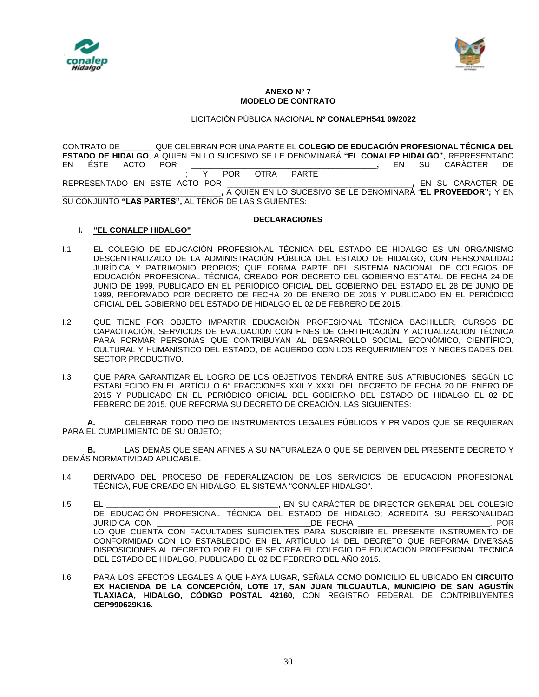



#### **ANEXO N° 7 MODELO DE CONTRATO**

# LICITACIÓN PÚBLICA NACIONAL **Nº CONALEPH541 09/2022**

CONTRATO DE **\_\_\_\_\_\_\_** QUE CELEBRAN POR UNA PARTE EL **COLEGIO DE EDUCACIÓN PROFESIONAL TÉCNICA DEL ESTADO DE HIDALGO**, A QUIEN EN LO SUCESIVO SE LE DENOMINARÁ **"EL CONALEP HIDALGO"**, REPRESENTADO EN ÉSTE ACTO POR \_\_\_\_\_\_\_\_\_\_\_\_\_\_\_\_\_\_\_\_\_\_\_\_\_\_\_\_\_\_\_\_\_\_\_\_\_\_\_\_\_\_**,** EN SU CARÀCTER DE \_\_\_\_\_\_\_\_\_\_\_\_\_\_\_\_\_\_\_\_\_\_\_\_\_\_\_\_; Y POR OTRA PARTE \_\_\_\_\_\_\_\_\_\_\_\_\_\_\_\_\_\_\_\_\_\_\_\_\_\_\_\_\_\_\_\_\_ REPRESENTADO EN ESTE ACTO POR \_\_\_\_\_\_\_\_\_\_\_\_\_\_\_\_\_\_\_\_\_\_\_\_\_\_\_\_\_\_\_\_\_\_\_\_\_\_\_\_\_\_**,** EN SU CARÀCTER DE \_\_\_\_\_\_\_\_\_\_\_\_\_\_\_\_\_\_\_\_\_\_\_\_\_\_\_\_\_\_\_\_\_\_\_\_**,** A QUIEN EN LO SUCESIVO SE LE DENOMINARÁ "**EL PROVEEDOR";** Y EN SU CONJUNTO **"LAS PARTES",** AL TENOR DE LAS SIGUIENTES:

### **DECLARACIONES**

### **I. "EL CONALEP HIDALGO"**

- I.1 EL COLEGIO DE EDUCACIÓN PROFESIONAL TÉCNICA DEL ESTADO DE HIDALGO ES UN ORGANISMO DESCENTRALIZADO DE LA ADMINISTRACIÓN PÚBLICA DEL ESTADO DE HIDALGO, CON PERSONALIDAD JURÍDICA Y PATRIMONIO PROPIOS; QUE FORMA PARTE DEL SISTEMA NACIONAL DE COLEGIOS DE EDUCACIÓN PROFESIONAL TÉCNICA, CREADO POR DECRETO DEL GOBIERNO ESTATAL DE FECHA 24 DE JUNIO DE 1999, PUBLICADO EN EL PERIÓDICO OFICIAL DEL GOBIERNO DEL ESTADO EL 28 DE JUNIO DE 1999, REFORMADO POR DECRETO DE FECHA 20 DE ENERO DE 2015 Y PUBLICADO EN EL PERIÓDICO OFICIAL DEL GOBIERNO DEL ESTADO DE HIDALGO EL 02 DE FEBRERO DE 2015.
- I.2 QUE TIENE POR OBJETO IMPARTIR EDUCACIÓN PROFESIONAL TÉCNICA BACHILLER, CURSOS DE CAPACITACIÓN, SERVICIOS DE EVALUACIÓN CON FINES DE CERTIFICACIÓN Y ACTUALIZACIÓN TÉCNICA PARA FORMAR PERSONAS QUE CONTRIBUYAN AL DESARROLLO SOCIAL, ECONÓMICO, CIENTÍFICO, CULTURAL Y HUMANÍSTICO DEL ESTADO, DE ACUERDO CON LOS REQUERIMIENTOS Y NECESIDADES DEL SECTOR PRODUCTIVO.
- I.3 QUE PARA GARANTIZAR EL LOGRO DE LOS OBJETIVOS TENDRÁ ENTRE SUS ATRIBUCIONES, SEGÚN LO ESTABLECIDO EN EL ARTÍCULO 6° FRACCIONES XXII Y XXXII DEL DECRETO DE FECHA 20 DE ENERO DE 2015 Y PUBLICADO EN EL PERIÓDICO OFICIAL DEL GOBIERNO DEL ESTADO DE HIDALGO EL 02 DE FEBRERO DE 2015, QUE REFORMA SU DECRETO DE CREACIÓN, LAS SIGUIENTES:

**A.** CELEBRAR TODO TIPO DE INSTRUMENTOS LEGALES PÚBLICOS Y PRIVADOS QUE SE REQUIERAN PARA EL CUMPLIMIENTO DE SU OBJETO;

**B.** LAS DEMÁS QUE SEAN AFINES A SU NATURALEZA O QUE SE DERIVEN DEL PRESENTE DECRETO Y DEMÁS NORMATIVIDAD APLICABLE.

- I.4 DERIVADO DEL PROCESO DE FEDERALIZACIÓN DE LOS SERVICIOS DE EDUCACIÓN PROFESIONAL TÉCNICA, FUE CREADO EN HIDALGO, EL SISTEMA "CONALEP HIDALGO".
- I.5 EL **\_\_\_\_\_\_\_\_\_\_\_\_\_\_\_\_\_\_\_\_\_\_\_\_\_\_\_\_\_\_\_\_\_\_\_\_\_\_\_**, EN SU CARÁCTER DE DIRECTOR GENERAL DEL COLEGIO DE EDUCACIÓN PROFESIONAL TÉCNICA DEL ESTADO DE HIDALGO; ACREDITA SU PERSONALIDAD JURÍDICA CON \_\_\_\_\_\_\_\_\_\_\_\_\_\_\_\_\_\_\_\_\_\_\_\_\_\_\_\_\_\_\_\_\_\_\_DE FECHA \_\_\_\_\_\_\_\_\_\_\_\_\_\_\_\_\_\_\_\_\_\_\_\_\_\_\_\_\_\_, POR LO QUE CUENTA CON FACULTADES SUFICIENTES PARA SUSCRIBIR EL PRESENTE INSTRUMENTO DE CONFORMIDAD CON LO ESTABLECIDO EN EL ARTÍCULO 14 DEL DECRETO QUE REFORMA DIVERSAS DISPOSICIONES AL DECRETO POR EL QUE SE CREA EL COLEGIO DE EDUCACIÓN PROFESIONAL TÉCNICA DEL ESTADO DE HIDALGO, PUBLICADO EL 02 DE FEBRERO DEL AÑO 2015.
- I.6 PARA LOS EFECTOS LEGALES A QUE HAYA LUGAR, SEÑALA COMO DOMICILIO EL UBICADO EN **CIRCUITO EX HACIENDA DE LA CONCEPCIÓN, LOTE 17, SAN JUAN TILCUAUTLA, MUNICIPIO DE SAN AGUSTÍN TLAXIACA, HIDALGO, CÓDIGO POSTAL 42160**, CON REGISTRO FEDERAL DE CONTRIBUYENTES **CEP990629K16.**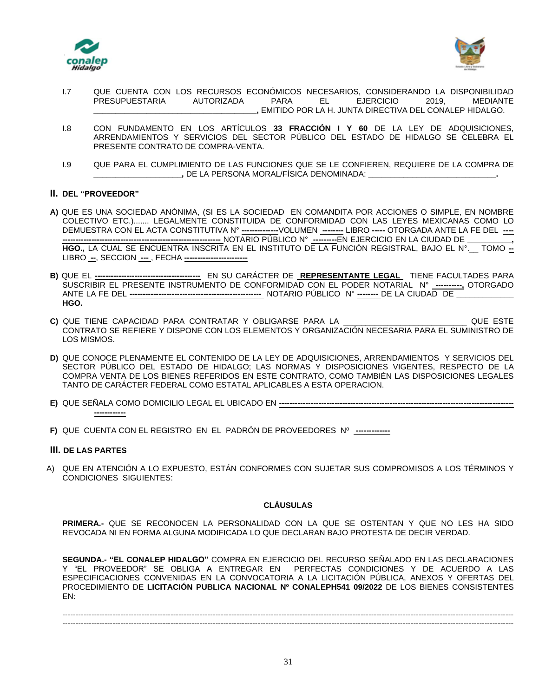



- I.7 QUE CUENTA CON LOS RECURSOS ECONÓMICOS NECESARIOS, CONSIDERANDO LA DISPONIBILIDAD PRESUPUESTARIA AUTORIZADA PARA EL EJERCICIO 2019, MEDIANTE **\_\_\_\_\_\_\_\_\_\_\_\_\_\_\_\_\_\_\_\_\_\_\_\_\_\_\_\_\_\_\_\_\_\_\_\_\_,** EMITIDO POR LA H. JUNTA DIRECTIVA DEL CONALEP HIDALGO.
- I.8 CON FUNDAMENTO EN LOS ARTÍCULOS **33 FRACCIÓN I Y 60** DE LA LEY DE ADQUISICIONES, ARRENDAMIENTOS Y SERVICIOS DEL SECTOR PÚBLICO DEL ESTADO DE HIDALGO SE CELEBRA EL PRESENTE CONTRATO DE COMPRA-VENTA.
- I.9 QUE PARA EL CUMPLIMIENTO DE LAS FUNCIONES QUE SE LE CONFIEREN, REQUIERE DE LA COMPRA DE **\_\_\_\_\_\_\_\_\_\_\_\_\_\_\_\_\_\_\_\_,** DE LA PERSONA MORAL/FÍSICA DENOMINADA: **\_\_\_\_\_\_\_\_\_\_\_\_\_\_\_\_\_\_\_\_\_\_\_\_\_\_\_\_\_.**

# **II. DEL "PROVEEDOR"**

- **A)** QUE ES UNA SOCIEDAD ANÓNIMA, (SI ES LA SOCIEDAD EN COMANDITA POR ACCIONES O SIMPLE, EN NOMBRE COLECTIVO ETC.)....... LEGALMENTE CONSTITUIDA DE CONFORMIDAD CON LAS LEYES MEXICANAS COMO LO DEMUESTRA CON EL ACTA CONSTITUTIVA N° **--------------**VOLUMEN **--------** LIBRO **-----** OTORGADA ANTE LA FE DEL **---- ------------------------------------------------------------** NOTARIO PÚBLICO N° **---------**EN EJERCICIO EN LA CIUDAD DE **\_\_\_\_\_\_\_\_\_\_, HGO.,** LA CUAL SE ENCUENTRA INSCRITA EN EL INSTITUTO DE LA FUNCIÓN REGISTRAL, BAJO EL N°.\_\_ TOMO **--** LIBRO **--**, SECCION **---** , FECHA **------------------------**
- **B)** QUE EL **----------------------------------------** EN SU CARÁCTER DE **REPRESENTANTE LEGAL** TIENE FACULTADES PARA SUSCRIBIR EL PRESENTE INSTRUMENTO DE CONFORMIDAD CON EL PODER NOTARIAL N° **----------,** OTORGADO ANTE LA FE DEL **--------------------------------------------------** NOTARIO PÚBLICO N° **--------** DE LA CIUDAD DE **\_\_\_\_\_\_\_\_\_\_\_\_\_ HGO.**
- **C)** QUE TIENE CAPACIDAD PARA CONTRATAR Y OBLIGARSE PARA LA \_\_\_\_\_\_\_\_\_\_\_\_\_\_\_\_\_\_\_\_\_\_\_\_\_\_\_\_ QUE ESTE CONTRATO SE REFIERE Y DISPONE CON LOS ELEMENTOS Y ORGANIZACIÓN NECESARIA PARA EL SUMINISTRO DE LOS MISMOS.
- **D)** QUE CONOCE PLENAMENTE EL CONTENIDO DE LA LEY DE ADQUISICIONES, ARRENDAMIENTOS Y SERVICIOS DEL SECTOR PÚBLICO DEL ESTADO DE HIDALGO; LAS NORMAS Y DISPOSICIONES VIGENTES, RESPECTO DE LA COMPRA VENTA DE LOS BIENES REFERIDOS EN ESTE CONTRATO, COMO TAMBIÉN LAS DISPOSICIONES LEGALES TANTO DE CARÁCTER FEDERAL COMO ESTATAL APLICABLES A ESTA OPERACION.
- **E)** QUE SEÑALA COMO DOMICILIO LEGAL EL UBICADO EN **----------------------------------------------------------------------------------------- ------------**
- **F)** QUE CUENTA CON EL REGISTRO EN EL PADRÓN DE PROVEEDORES Nº **-------------**

### **III. DE LAS PARTES**

A) QUE EN ATENCIÓN A LO EXPUESTO, ESTÁN CONFORMES CON SUJETAR SUS COMPROMISOS A LOS TÉRMINOS Y CONDICIONES SIGUIENTES:

### **CLÁUSULAS**

**PRIMERA.-** QUE SE RECONOCEN LA PERSONALIDAD CON LA QUE SE OSTENTAN Y QUE NO LES HA SIDO REVOCADA NI EN FORMA ALGUNA MODIFICADA LO QUE DECLARAN BAJO PROTESTA DE DECIR VERDAD.

**SEGUNDA.- "EL CONALEP HIDALGO"** COMPRA EN EJERCICIO DEL RECURSO SEÑALADO EN LAS DECLARACIONES Y "EL PROVEEDOR" SE OBLIGA A ENTREGAR EN PERFECTAS CONDICIONES Y DE ACUERDO A LAS ESPECIFICACIONES CONVENIDAS EN LA CONVOCATORIA A LA LICITACIÓN PÚBLICA, ANEXOS Y OFERTAS DEL PROCEDIMIENTO DE **LICITACIÓN PUBLICA NACIONAL Nº CONALEPH541 09/2022** DE LOS BIENES CONSISTENTES EN:

--------------------------------------------------------------------------------------------------------------------------------------------------------------------------- ---------------------------------------------------------------------------------------------------------------------------------------------------------------------------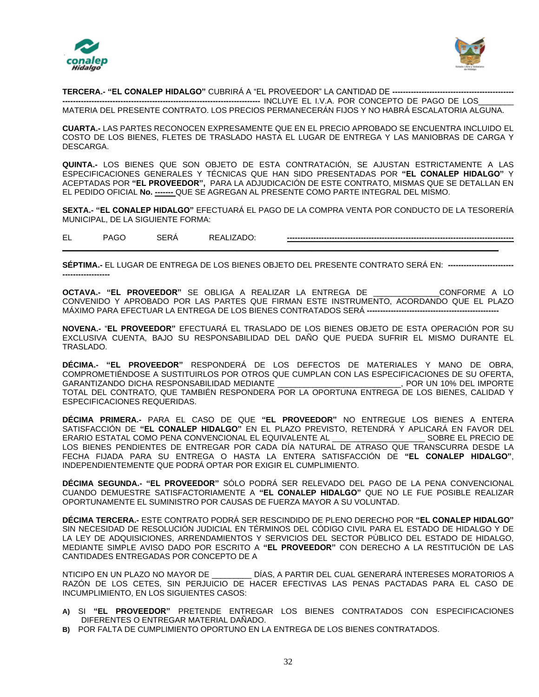



**TERCERA.- "EL CONALEP HIDALGO"** CUBRIRÁ A "EL PROVEEDOR" LA CANTIDAD DE **----------------------------------------------**

**---------------------------------------------------------------------------** INCLUYE EL I.V.A. POR CONCEPTO DE PAGO DE LOS\_\_\_\_\_\_\_\_ MATERIA DEL PRESENTE CONTRATO. LOS PRECIOS PERMANECERÁN FIJOS Y NO HABRÁ ESCALATORIA ALGUNA.

**CUARTA.-** LAS PARTES RECONOCEN EXPRESAMENTE QUE EN EL PRECIO APROBADO SE ENCUENTRA INCLUIDO EL COSTO DE LOS BIENES, FLETES DE TRASLADO HASTA EL LUGAR DE ENTREGA Y LAS MANIOBRAS DE CARGA Y DESCARGA.

**QUINTA.-** LOS BIENES QUE SON OBJETO DE ESTA CONTRATACIÓN, SE AJUSTAN ESTRICTAMENTE A LAS ESPECIFICACIONES GENERALES Y TÉCNICAS QUE HAN SIDO PRESENTADAS POR **"EL CONALEP HIDALGO"** Y ACEPTADAS POR **"EL PROVEEDOR",** PARA LA ADJUDICACIÓN DE ESTE CONTRATO, MISMAS QUE SE DETALLAN EN EL PEDIDO OFICIAL **No. -------** QUE SE AGREGAN AL PRESENTE COMO PARTE INTEGRAL DEL MISMO.

**SEXTA.- "EL CONALEP HIDALGO"** EFECTUARÁ EL PAGO DE LA COMPRA VENTA POR CONDUCTO DE LA TESORERÍA MUNICIPAL, DE LA SIGUIENTE FORMA:

EL PAGO SERÁ REALIZADO: **--------------------------------------------------------------------------------------**

**\_\_\_\_\_\_\_\_\_\_\_\_\_\_\_\_\_\_\_\_\_\_\_\_\_\_\_\_\_\_\_\_\_\_\_\_\_\_\_\_\_\_\_\_\_\_\_\_\_\_\_\_\_\_\_\_\_\_\_\_\_\_\_\_\_\_\_\_\_\_\_\_\_\_\_\_\_\_\_\_\_\_\_\_\_\_\_\_\_\_\_\_\_\_\_\_\_\_\_**

**SÉPTIMA.-** EL LUGAR DE ENTREGA DE LOS BIENES OBJETO DEL PRESENTE CONTRATO SERÁ EN: **------------------------- ------------------**

**OCTAVA.- "EL PROVEEDOR"** SE OBLIGA A REALIZAR LA ENTREGA DE \_\_\_\_\_\_\_\_\_\_\_\_\_\_\_CONFORME A LO CONVENIDO Y APROBADO POR LAS PARTES QUE FIRMAN ESTE INSTRUMENTO, ACORDANDO QUE EL PLAZO MÁXIMO PARA EFECTUAR LA ENTREGA DE LOS BIENES CONTRATADOS SERÁ **--------------------------------------------------**

**NOVENA.-** "**EL PROVEEDOR"** EFECTUARÁ EL TRASLADO DE LOS BIENES OBJETO DE ESTA OPERACIÓN POR SU EXCLUSIVA CUENTA, BAJO SU RESPONSABILIDAD DEL DAÑO QUE PUEDA SUFRIR EL MISMO DURANTE EL TRASLADO.

**DÉCIMA.- "EL PROVEEDOR"** RESPONDERÁ DE LOS DEFECTOS DE MATERIALES Y MANO DE OBRA, COMPROMETIÉNDOSE A SUSTITUIRLOS POR OTROS QUE CUMPLAN CON LAS ESPECIFICACIONES DE SU OFERTA,<br>GARANTIZANDO DICHA RESPONSABILIDAD MEDIANTE [1999], POR UN 10% DEL IMPORTE GARANTIZANDO DICHA RESPONSABILIDAD MEDIANTE TOTAL DEL CONTRATO, QUE TAMBIÉN RESPONDERA POR LA OPORTUNA ENTREGA DE LOS BIENES, CALIDAD Y ESPECIFICACIONES REQUERIDAS.

**DÉCIMA PRIMERA.-** PARA EL CASO DE QUE **"EL PROVEEDOR"** NO ENTREGUE LOS BIENES A ENTERA SATISFACCIÓN DE **"EL CONALEP HIDALGO"** EN EL PLAZO PREVISTO, RETENDRÁ Y APLICARÁ EN FAVOR DEL ERARIO ESTATAL COMO PENA CONVENCIONAL EL EQUIVALENTE AL \_\_\_\_\_\_\_\_\_\_\_\_\_\_\_\_\_\_\_\_\_ SOBRE EL PRECIO DE LOS BIENES PENDIENTES DE ENTREGAR POR CADA DÍA NATURAL DE ATRASO QUE TRANSCURRA DESDE LA FECHA FIJADA PARA SU ENTREGA O HASTA LA ENTERA SATISFACCIÓN DE **"EL CONALEP HIDALGO"**, INDEPENDIENTEMENTE QUE PODRÁ OPTAR POR EXIGIR EL CUMPLIMIENTO.

**DÉCIMA SEGUNDA.- "EL PROVEEDOR"** SÓLO PODRÁ SER RELEVADO DEL PAGO DE LA PENA CONVENCIONAL CUANDO DEMUESTRE SATISFACTORIAMENTE A **"EL CONALEP HIDALGO"** QUE NO LE FUE POSIBLE REALIZAR OPORTUNAMENTE EL SUMINISTRO POR CAUSAS DE FUERZA MAYOR A SU VOLUNTAD.

**DÉCIMA TERCERA.-** ESTE CONTRATO PODRÁ SER RESCINDIDO DE PLENO DERECHO POR **"EL CONALEP HIDALGO"** SIN NECESIDAD DE RESOLUCIÓN JUDICIAL EN TÉRMINOS DEL CÓDIGO CIVIL PARA EL ESTADO DE HIDALGO Y DE LA LEY DE ADQUISICIONES, ARRENDAMIENTOS Y SERVICIOS DEL SECTOR PÙBLICO DEL ESTADO DE HIDALGO, MEDIANTE SIMPLE AVISO DADO POR ESCRITO A **"EL PROVEEDOR"** CON DERECHO A LA RESTITUCIÓN DE LAS CANTIDADES ENTREGADAS POR CONCEPTO DE A

NTICIPO EN UN PLAZO NO MAYOR DE \_\_\_\_\_\_\_\_\_ DÍAS, A PARTIR DEL CUAL GENERARÁ INTERESES MORATORIOS A RAZÓN DE LOS CETES, SIN PERJUICIO DE HACER EFECTIVAS LAS PENAS PACTADAS PARA EL CASO DE INCUMPLIMIENTO, EN LOS SIGUIENTES CASOS:

- **A)** SI **"EL PROVEEDOR"** PRETENDE ENTREGAR LOS BIENES CONTRATADOS CON ESPECIFICACIONES DIFERENTES O ENTREGAR MATERIAL DAÑADO.
- **B)** POR FALTA DE CUMPLIMIENTO OPORTUNO EN LA ENTREGA DE LOS BIENES CONTRATADOS.